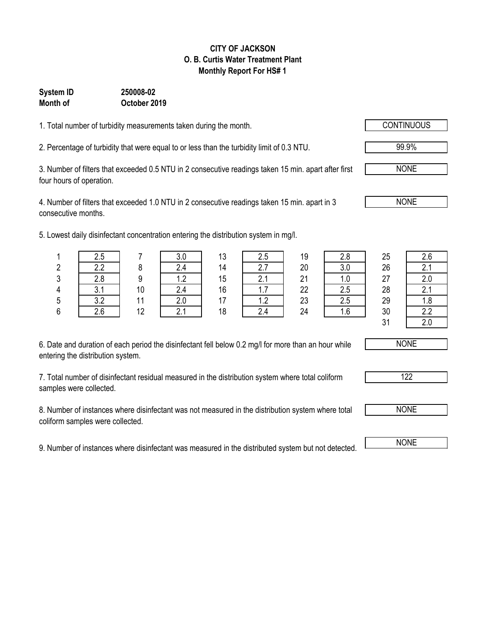#### **CITY OF JACKSON O. B. Curtis Water Treatment Plant Monthly Report For HS# 1**

### **System ID 250008-02 Month of October 2019**

1. Total number of turbidity measurements taken during the month.

2. Percentage of turbidity that were equal to or less than the turbidity limit of 0.3 NTU.

3. Number of filters that exceeded 0.5 NTU in 2 consecutive readings taken 15 min. apart after first four hours of operation.

4. Number of filters that exceeded 1.0 NTU in 2 consecutive readings taken 15 min. apart in 3 consecutive months.

5. Lowest daily disinfectant concentration entering the distribution system in mg/l.

|   | 2.5        |    | v.v                      | 13 | 2.5                    | 19 | 2.8 | 25            | 2.6           |
|---|------------|----|--------------------------|----|------------------------|----|-----|---------------|---------------|
|   | っっ<br>L.L  |    |                          | 14 | <u>.</u>               | 20 | 3.0 | 26            | 2.1           |
| ົ | റ റ        |    | $\overline{\phantom{a}}$ | 15 | 4. I                   | 21 | 1.U | 27            | 2.0           |
|   | ົ          | 10 |                          | 16 | 1.1                    | 22 | 2.5 | 28            | 2.1           |
|   | ? າ<br>J.Z |    |                          | 17 | $\sim$<br>$\mathsf{L}$ | 23 | 2.5 | 29            | 1.8           |
|   | 2.6        | 12 |                          | 18 |                        | 24 |     | 30            | 2.2           |
|   |            |    |                          |    |                        |    |     | $\sim$ $\sim$ | $\sim$ $\sim$ |

| 2.8 |  |
|-----|--|
| 3.0 |  |
| 1.0 |  |
| 2.5 |  |
| 2.5 |  |
| 1.6 |  |

| 2.6 |
|-----|
| 2.1 |
| 2.0 |
| 2.1 |
| 1.8 |
| 2.2 |
| 2.0 |

6. Date and duration of each period the disinfectant fell below 0.2 mg/l for more than an hour while entering the distribution system.

7. Total number of disinfectant residual measured in the distribution system where total coliform samples were collected.

8. Number of instances where disinfectant was not measured in the distribution system where total coliform samples were collected.

9. Number of instances where disinfectant was measured in the distributed system but not detected. NONE

NONE

99.9%

NONE

NONE

NONE

122

 $31$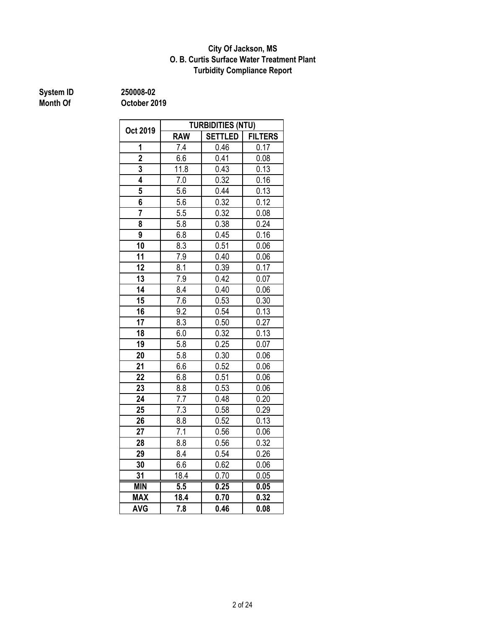### **O. B. Curtis Surface Water Treatment Plant City Of Jackson, MS Turbidity Compliance Report**

# **System ID 250008-02**

|                 | <b>TURBIDITIES (NTU)</b> |                |                |  |  |  |  |
|-----------------|--------------------------|----------------|----------------|--|--|--|--|
| Oct 2019        | <b>RAW</b>               | <b>SETTLED</b> | <b>FILTERS</b> |  |  |  |  |
| 1               | 7.4                      | 0.46           | 0.17           |  |  |  |  |
| $\overline{2}$  | 6.6                      | 0.41           | 0.08           |  |  |  |  |
| 3               | 11.8                     | 0.43           | 0.13           |  |  |  |  |
| $\overline{4}$  | 7.0                      | 0.32           | 0.16           |  |  |  |  |
| 5               | 5.6                      | 0.44           | 0.13           |  |  |  |  |
| 6               | 5.6                      | 0.32           | 0.12           |  |  |  |  |
| 7               | 5.5                      | 0.32           | 0.08           |  |  |  |  |
| 8               | 5.8                      | 0.38           | 0.24           |  |  |  |  |
| 9               | 6.8                      | 0.45           | 0.16           |  |  |  |  |
| 10              | 8.3                      | 0.51           | 0.06           |  |  |  |  |
| 11              | 7.9                      | 0.40           | 0.06           |  |  |  |  |
| 12              | 8.1                      | 0.39           | 0.17           |  |  |  |  |
| 13              | 7.9                      | 0.42           | 0.07           |  |  |  |  |
| $\overline{14}$ | 8.4                      | 0.40           | 0.06           |  |  |  |  |
| 15              | 7.6                      | 0.53           | 0.30           |  |  |  |  |
| 16              | 9.2                      | 0.54           | 0.13           |  |  |  |  |
| 17              | 8.3                      | 0.50           | 0.27           |  |  |  |  |
| 18              | 6.0                      | 0.32           | 0.13           |  |  |  |  |
| 19              | 5.8                      | 0.25           | 0.07           |  |  |  |  |
| 20              | 5.8                      | 0.30           | 0.06           |  |  |  |  |
| 21              | 6.6                      | 0.52           | 0.06           |  |  |  |  |
| 22              | 6.8                      | 0.51           | 0.06           |  |  |  |  |
| 23              | 8.8                      | 0.53           | 0.06           |  |  |  |  |
| 24              | 7.7                      | 0.48           | 0.20           |  |  |  |  |
| 25              | 7.3                      | 0.58           | 0.29           |  |  |  |  |
| 26              | 8.8                      | 0.52           | 0.13           |  |  |  |  |
| 27              | 7.1                      | 0.56           | 0.06           |  |  |  |  |
| 28              | 8.8                      | 0.56           | 0.32           |  |  |  |  |
| 29              | 8.4                      | 0.54           | 0.26           |  |  |  |  |
| 30              | 6.6                      | 0.62           | 0.06           |  |  |  |  |
| 31              | 18.4                     | 0.70           | 0.05           |  |  |  |  |
| <b>MIN</b>      | 5.5                      | 0.25           | 0.05           |  |  |  |  |
| <b>MAX</b>      | 18.4                     | 0.70           | 0.32           |  |  |  |  |
| AVG             | 7.8                      | 0.46           | 0.08           |  |  |  |  |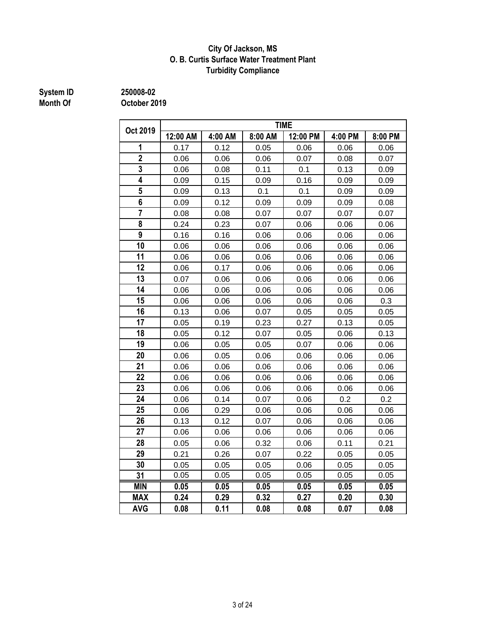### **City Of Jackson, MS O. B. Curtis Surface Water Treatment Plant Turbidity Compliance**

# **System ID 250008-02**

|                         | <b>TIME</b> |         |         |          |         |         |  |  |  |
|-------------------------|-------------|---------|---------|----------|---------|---------|--|--|--|
| Oct 2019                | 12:00 AM    | 4:00 AM | 8:00 AM | 12:00 PM | 4:00 PM | 8:00 PM |  |  |  |
| 1                       | 0.17        | 0.12    | 0.05    | 0.06     | 0.06    | 0.06    |  |  |  |
| $\overline{2}$          | 0.06        | 0.06    | 0.06    | 0.07     | 0.08    | 0.07    |  |  |  |
| 3                       | 0.06        | 0.08    | 0.11    | 0.1      | 0.13    | 0.09    |  |  |  |
| $\overline{4}$          | 0.09        | 0.15    | 0.09    | 0.16     | 0.09    | 0.09    |  |  |  |
| 5                       | 0.09        | 0.13    | 0.1     | 0.1      | 0.09    | 0.09    |  |  |  |
| $\overline{\mathbf{6}}$ | 0.09        | 0.12    | 0.09    | 0.09     | 0.09    | 0.08    |  |  |  |
| $\overline{7}$          | 0.08        | 0.08    | 0.07    | 0.07     | 0.07    | 0.07    |  |  |  |
| 8                       | 0.24        | 0.23    | 0.07    | 0.06     | 0.06    | 0.06    |  |  |  |
| 9                       | 0.16        | 0.16    | 0.06    | 0.06     | 0.06    | 0.06    |  |  |  |
| 10                      | 0.06        | 0.06    | 0.06    | 0.06     | 0.06    | 0.06    |  |  |  |
| 11                      | 0.06        | 0.06    | 0.06    | 0.06     | 0.06    | 0.06    |  |  |  |
| 12                      | 0.06        | 0.17    | 0.06    | 0.06     | 0.06    | 0.06    |  |  |  |
| 13                      | 0.07        | 0.06    | 0.06    | 0.06     | 0.06    | 0.06    |  |  |  |
| 14                      | 0.06        | 0.06    | 0.06    | 0.06     | 0.06    | 0.06    |  |  |  |
| 15                      | 0.06        | 0.06    | 0.06    | 0.06     | 0.06    | 0.3     |  |  |  |
| 16                      | 0.13        | 0.06    | 0.07    | 0.05     | 0.05    | 0.05    |  |  |  |
| 17                      | 0.05        | 0.19    | 0.23    | 0.27     | 0.13    | 0.05    |  |  |  |
| 18                      | 0.05        | 0.12    | 0.07    | 0.05     | 0.06    | 0.13    |  |  |  |
| 19                      | 0.06        | 0.05    | 0.05    | 0.07     | 0.06    | 0.06    |  |  |  |
| 20                      | 0.06        | 0.05    | 0.06    | 0.06     | 0.06    | 0.06    |  |  |  |
| 21                      | 0.06        | 0.06    | 0.06    | 0.06     | 0.06    | 0.06    |  |  |  |
| 22                      | 0.06        | 0.06    | 0.06    | 0.06     | 0.06    | 0.06    |  |  |  |
| 23                      | 0.06        | 0.06    | 0.06    | 0.06     | 0.06    | 0.06    |  |  |  |
| 24                      | 0.06        | 0.14    | 0.07    | 0.06     | 0.2     | 0.2     |  |  |  |
| 25                      | 0.06        | 0.29    | 0.06    | 0.06     | 0.06    | 0.06    |  |  |  |
| 26                      | 0.13        | 0.12    | 0.07    | 0.06     | 0.06    | 0.06    |  |  |  |
| 27                      | 0.06        | 0.06    | 0.06    | 0.06     | 0.06    | 0.06    |  |  |  |
| 28                      | 0.05        | 0.06    | 0.32    | 0.06     | 0.11    | 0.21    |  |  |  |
| 29                      | 0.21        | 0.26    | 0.07    | 0.22     | 0.05    | 0.05    |  |  |  |
| 30                      | 0.05        | 0.05    | 0.05    | 0.06     | 0.05    | 0.05    |  |  |  |
| 31                      | 0.05        | 0.05    | 0.05    | 0.05     | 0.05    | 0.05    |  |  |  |
| <b>MIN</b>              | 0.05        | 0.05    | 0.05    | 0.05     | 0.05    | 0.05    |  |  |  |
| <b>MAX</b>              | 0.24        | 0.29    | 0.32    | 0.27     | 0.20    | 0.30    |  |  |  |
| <b>AVG</b>              | 0.08        | 0.11    | 0.08    | 0.08     | 0.07    | 0.08    |  |  |  |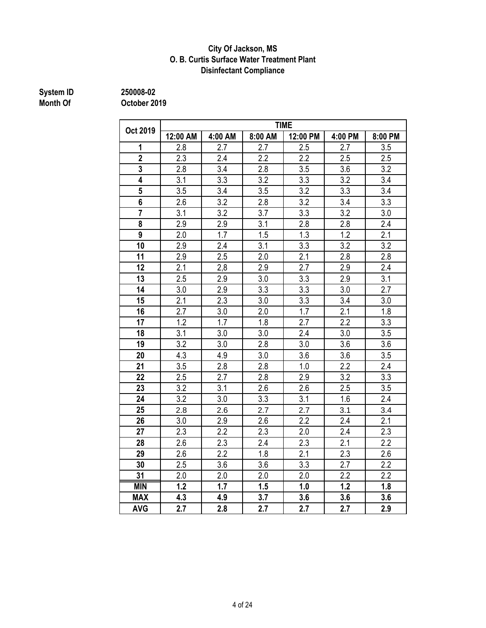### **Disinfectant Compliance City Of Jackson, MS O. B. Curtis Surface Water Treatment Plant**

# **System ID 250008-02**

|                | <b>TIME</b> |                  |                  |                  |                  |                  |  |  |  |
|----------------|-------------|------------------|------------------|------------------|------------------|------------------|--|--|--|
| Oct 2019       | 12:00 AM    | 4:00 AM          | 8:00 AM          | 12:00 PM         | 4:00 PM          | 8:00 PM          |  |  |  |
| 1              | 2.8         | 2.7              | 2.7              | 2.5              | 2.7              | 3.5              |  |  |  |
| $\overline{2}$ | 2.3         | 2.4              | 2.2              | 2.2              | 2.5              | 2.5              |  |  |  |
| 3              | 2.8         | 3.4              | 2.8              | 3.5              | 3.6              | 3.2              |  |  |  |
| $\overline{4}$ | 3.1         | $\overline{3.3}$ | $\overline{3.2}$ | $\overline{3.3}$ | $\overline{3.2}$ | 3.4              |  |  |  |
| $\overline{5}$ | 3.5         | 3.4              | 3.5              | 3.2              | 3.3              | 3.4              |  |  |  |
| 6              | 2.6         | 3.2              | 2.8              | 3.2              | 3.4              | 3.3              |  |  |  |
| 7              | 3.1         | 3.2              | 3.7              | 3.3              | 3.2              | 3.0              |  |  |  |
| 8              | 2.9         | 2.9              | 3.1              | 2.8              | 2.8              | 2.4              |  |  |  |
| 9              | 2.0         | 1.7              | 1.5              | 1.3              | 1.2              | 2.1              |  |  |  |
| 10             | 2.9         | 2.4              | 3.1              | 3.3              | 3.2              | 3.2              |  |  |  |
| 11             | 2.9         | 2.5              | 2.0              | 2.1              | 2.8              | 2.8              |  |  |  |
| 12             | 2.1         | 2,8              | 2.9              | 2.7              | 2.9              | 2.4              |  |  |  |
| 13             | 2.5         | 2.9              | 3.0              | 3.3              | 2.9              | 3.1              |  |  |  |
| 14             | 3.0         | 2.9              | $\overline{3.3}$ | $\overline{3.3}$ | 3.0              | $\overline{2.7}$ |  |  |  |
| 15             | 2.1         | 2.3              | 3.0              | 3.3              | 3.4              | 3.0              |  |  |  |
| 16             | 2.7         | 3.0              | 2.0              | 1.7              | 2.1              | 1.8              |  |  |  |
| 17             | 1.2         | 1.7              | 1.8              | 2.7              | 2.2              | 3.3              |  |  |  |
| 18             | 3.1         | 3.0              | 3.0              | 2.4              | 3.0              | 3.5              |  |  |  |
| 19             | 3.2         | 3.0              | 2.8              | 3.0              | 3.6              | 3.6              |  |  |  |
| 20             | 4.3         | 4.9              | 3.0              | 3.6              | 3.6              | 3.5              |  |  |  |
| 21             | 3.5         | 2.8              | 2.8              | 1.0              | 2.2              | 2.4              |  |  |  |
| 22             | 2.5         | 2.7              | 2.8              | 2.9              | 3.2              | 3.3              |  |  |  |
| 23             | 3.2         | 3.1              | 2.6              | 2.6              | 2.5              | 3.5              |  |  |  |
| 24             | 3.2         | 3.0              | 3.3              | 3.1              | 1.6              | 2.4              |  |  |  |
| 25             | 2.8         | 2.6              | 2.7              | 2.7              | 3.1              | 3.4              |  |  |  |
| 26             | 3.0         | 2.9              | 2.6              | 2.2              | 2.4              | 2.1              |  |  |  |
| 27             | 2.3         | 2.2              | 2.3              | 2.0              | 2.4              | 2.3              |  |  |  |
| 28             | 2.6         | 2.3              | 2.4              | 2.3              | 2.1              | 2.2              |  |  |  |
| 29             | 2.6         | 2.2              | 1.8              | 2.1              | 2.3              | 2.6              |  |  |  |
| 30             | 2.5         | 3.6              | 3.6              | $\overline{3.3}$ | 2.7              | $\overline{2.2}$ |  |  |  |
| 31             | 2.0         | 2.0              | 2.0              | 2.0              | 2.2              | 2.2              |  |  |  |
| <b>MIN</b>     | 1.2         | 1.7              | 1.5              | 1.0              | 1.2              | 1.8              |  |  |  |
| <b>MAX</b>     | 4.3         | 4.9              | 3.7              | 3.6              | 3.6              | 3.6              |  |  |  |
| <b>AVG</b>     | 2.7         | 2.8              | 2.7              | 2.7              | 2.7              | 2.9              |  |  |  |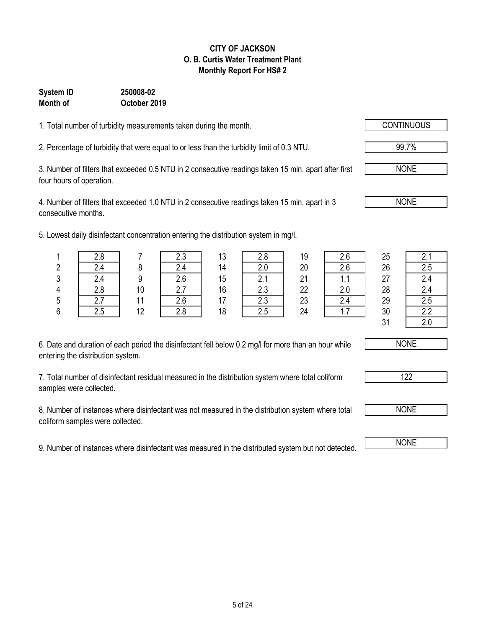### 5 of 24

#### **CITY OF JACKSON O. B. Curtis Water Treatment Plant Monthly Report For HS# 2**

### **Month of October 2019 System ID 250008-02**

1. Total number of turbidity measurements taken during the month.

2. Percentage of turbidity that were equal to or less than the turbidity limit of 0.3 NTU. 99.7%

3. Number of filters that exceeded 0.5 NTU in 2 consecutive readings taken 15 min. apart after first four hours of operation.

4. Number of filters that exceeded 1.0 NTU in 2 consecutive readings taken 15 min. apart in 3 consecutive months.

5. Lowest daily disinfectant concentration entering the distribution system in mg/l.

| 6. Date and duration of each period the disinfectant fell below 0.2 mg/l for more than an hour while |  |
|------------------------------------------------------------------------------------------------------|--|
| entering the distribution system.                                                                    |  |

7. Total number of disinfectant residual measured in the distribution system where total coliform samples were collected.

8. Number of instances where disinfectant was not measured in the distribution system where total coliform samples were collected.

9. Number of instances where disinfectant was measured in the distributed system but not detected.

| . . <del>.</del> |     |            |                      |    |                   |          |                |          |          |
|------------------|-----|------------|----------------------|----|-------------------|----------|----------------|----------|----------|
|                  |     |            | 2.3                  | 13 | 2.8               | 19       | 2.6            | 25       | 2.1      |
| 2                | 2.4 |            | 2.4                  | 14 | 2.0               | 20       | 2.6            | 26       | 2.5      |
| 3                | 2.4 |            | 2.6                  | 15 | C.                | 21       | .              | 27       | 2.4      |
| 4                | 2.8 | 10         | $\sim$ $\sim$<br>۷.I | 16 | $\cap$<br>د.∠     | 22       |                | 28       | 2.4      |
| 5                |     |            | 2.6                  | 17 | n n<br>د.∠        | 23       | 2.4            | 29       | 2.5      |
| c                | O E | $\sqrt{2}$ | 0 <sub>0</sub>       | 40 | $\Omega$ $\Gamma$ | $\Omega$ | 4 <sub>7</sub> | $\Omega$ | $\Omega$ |

| n.<br>∠ | 2.4            |    | 2.4 | 14 | 2.0    | 20 | 2.6 | 26                     | 2.5                 |
|---------|----------------|----|-----|----|--------|----|-----|------------------------|---------------------|
| 3       | , .            |    | 2.6 | 15 | $\sim$ | 21 | . . | 27                     | 24                  |
| 4       | 2.8            | 10 | 2.7 | 16 | 2.3    | 22 | 2.0 | 28                     | 24<br>2.T           |
| 5       | 27<br><u>.</u> | 44 | 2.6 | 17 | 2.3    | 23 | 2.4 | 29                     | 2.5                 |
| 6       | 2.5            | 12 | 2.8 | 18 | 2.5    | 24 | .   | 30                     | $\Omega$<br><u></u> |
|         |                |    |     |    |        |    |     | 2 <sub>1</sub><br>ັບ I | $\sim$ $\sim$       |



NONE

NONE

NONE



122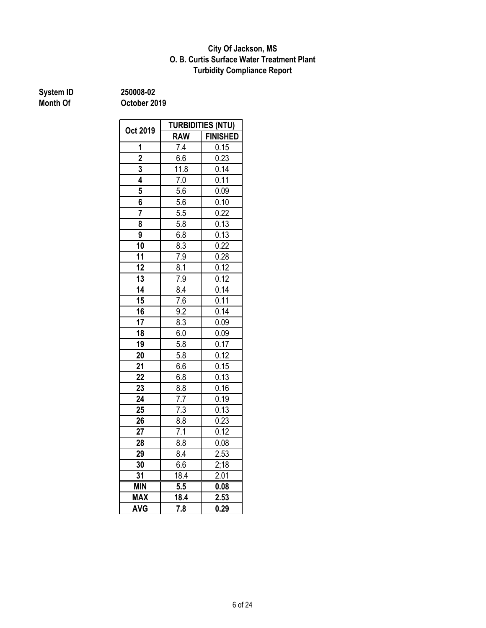### **O. B. Curtis Surface Water Treatment Plant City Of Jackson, MS Turbidity Compliance Report**

| System ID       | 250008-02    |  |  |
|-----------------|--------------|--|--|
| <b>Month Of</b> | October 2019 |  |  |

**System ID 250008-02**

|                 | <b>TURBIDITIES (NTU)</b> |                   |  |  |  |
|-----------------|--------------------------|-------------------|--|--|--|
| Oct 2019        | <b>RAW</b>               | <b>FINISHED</b>   |  |  |  |
| 1               | $\overline{7.4}$         | 0.15              |  |  |  |
| $\overline{2}$  | 6.6                      | 0.23              |  |  |  |
| $\overline{3}$  | 11.8                     | $0.\overline{14}$ |  |  |  |
| 4               | $7.0$                    | 0.11              |  |  |  |
| 5               | 5.6                      | 0.09              |  |  |  |
| 6               | 5.6                      | 0.10              |  |  |  |
| $\overline{7}$  | 5.5                      | 0.22              |  |  |  |
| 8               | 5.8                      | 0.13              |  |  |  |
| 9               | 6.8                      | 0.13              |  |  |  |
| 10              | 8.3                      | 0.22              |  |  |  |
| 11              | 7.9                      | 0.28              |  |  |  |
| 12              | 8.1                      | 0.12              |  |  |  |
| 13              | 7.9                      | 0.12              |  |  |  |
| 14              | 8.4                      | 0.14              |  |  |  |
| 15              | 7.6                      | 0.11              |  |  |  |
| 16              | 9.2                      | 0.14              |  |  |  |
| $\overline{17}$ | 8.3                      | 0.09              |  |  |  |
| 18              | 6.0                      | 0.09              |  |  |  |
| 19              | 5.8                      | 0.17              |  |  |  |
| 20              | 5.8                      | 0.12              |  |  |  |
| 21              | 6.6                      | 0.15              |  |  |  |
| 22              | 6.8                      | 0.13              |  |  |  |
| 23              | 8.8                      | 0.16              |  |  |  |
| 24              | 7.7                      | 0.19              |  |  |  |
| 25              | 7.3                      | 0.13              |  |  |  |
| 26              | 8.8                      | 0.23              |  |  |  |
| 27              | 7.1                      | 0.12              |  |  |  |
| 28              | 8.8                      | 0.08              |  |  |  |
| 29              | 8.4                      | 2.53              |  |  |  |
| 30              | 6.6                      | 2:18              |  |  |  |
| 31              | 18.4                     | 2.01              |  |  |  |
| <b>MIN</b>      | 5.5                      | 0.08              |  |  |  |
| <b>MAX</b>      | 18.4                     | 2.53              |  |  |  |
| <b>AVG</b>      | $\overline{7.8}$         | 0.29              |  |  |  |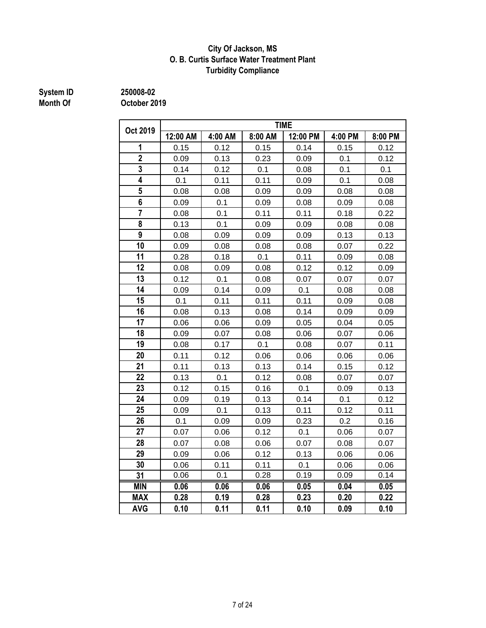### **City Of Jackson, MS O. B. Curtis Surface Water Treatment Plant Turbidity Compliance**

# **System ID 250008-02**

|                | <b>TIME</b> |         |         |          |         |         |  |  |  |
|----------------|-------------|---------|---------|----------|---------|---------|--|--|--|
| Oct 2019       | 12:00 AM    | 4:00 AM | 8:00 AM | 12:00 PM | 4:00 PM | 8:00 PM |  |  |  |
| 1              | 0.15        | 0.12    | 0.15    | 0.14     | 0.15    | 0.12    |  |  |  |
| $\overline{2}$ | 0.09        | 0.13    | 0.23    | 0.09     | 0.1     | 0.12    |  |  |  |
| $\overline{3}$ | 0.14        | 0.12    | 0.1     | 0.08     | 0.1     | 0.1     |  |  |  |
| 4              | 0.1         | 0.11    | 0.11    | 0.09     | 0.1     | 0.08    |  |  |  |
| 5              | 0.08        | 0.08    | 0.09    | 0.09     | 0.08    | 0.08    |  |  |  |
| 6              | 0.09        | 0.1     | 0.09    | 0.08     | 0.09    | 0.08    |  |  |  |
| $\overline{7}$ | 0.08        | 0.1     | 0.11    | 0.11     | 0.18    | 0.22    |  |  |  |
| 8              | 0.13        | 0.1     | 0.09    | 0.09     | 0.08    | 0.08    |  |  |  |
| 9              | 0.08        | 0.09    | 0.09    | 0.09     | 0.13    | 0.13    |  |  |  |
| 10             | 0.09        | 0.08    | 0.08    | 0.08     | 0.07    | 0.22    |  |  |  |
| 11             | 0.28        | 0.18    | 0.1     | 0.11     | 0.09    | 0.08    |  |  |  |
| 12             | 0.08        | 0.09    | 0.08    | 0.12     | 0.12    | 0.09    |  |  |  |
| 13             | 0.12        | 0.1     | 0.08    | 0.07     | 0.07    | 0.07    |  |  |  |
| 14             | 0.09        | 0.14    | 0.09    | 0.1      | 0.08    | 0.08    |  |  |  |
| 15             | 0.1         | 0.11    | 0.11    | 0.11     | 0.09    | 0.08    |  |  |  |
| 16             | 0.08        | 0.13    | 0.08    | 0.14     | 0.09    | 0.09    |  |  |  |
| 17             | 0.06        | 0.06    | 0.09    | 0.05     | 0.04    | 0.05    |  |  |  |
| 18             | 0.09        | 0.07    | 0.08    | 0.06     | 0.07    | 0.06    |  |  |  |
| 19             | 0.08        | 0.17    | 0.1     | 0.08     | 0.07    | 0.11    |  |  |  |
| 20             | 0.11        | 0.12    | 0.06    | 0.06     | 0.06    | 0.06    |  |  |  |
| 21             | 0.11        | 0.13    | 0.13    | 0.14     | 0.15    | 0.12    |  |  |  |
| 22             | 0.13        | 0.1     | 0.12    | 0.08     | 0.07    | 0.07    |  |  |  |
| 23             | 0.12        | 0.15    | 0.16    | 0.1      | 0.09    | 0.13    |  |  |  |
| 24             | 0.09        | 0.19    | 0.13    | 0.14     | 0.1     | 0.12    |  |  |  |
| 25             | 0.09        | 0.1     | 0.13    | 0.11     | 0.12    | 0.11    |  |  |  |
| 26             | 0.1         | 0.09    | 0.09    | 0.23     | 0.2     | 0.16    |  |  |  |
| 27             | 0.07        | 0.06    | 0.12    | 0.1      | 0.06    | 0.07    |  |  |  |
| 28             | 0.07        | 0.08    | 0.06    | 0.07     | 0.08    | 0.07    |  |  |  |
| 29             | 0.09        | 0.06    | 0.12    | 0.13     | 0.06    | 0.06    |  |  |  |
| 30             | 0.06        | 0.11    | 0.11    | 0.1      | 0.06    | 0.06    |  |  |  |
| 31             | 0.06        | 0.1     | 0.28    | 0.19     | 0.09    | 0.14    |  |  |  |
| <b>MIN</b>     | 0.06        | 0.06    | 0.06    | 0.05     | 0.04    | 0.05    |  |  |  |
| <b>MAX</b>     | 0.28        | 0.19    | 0.28    | 0.23     | 0.20    | 0.22    |  |  |  |
| <b>AVG</b>     | 0.10        | 0.11    | 0.11    | 0.10     | 0.09    | 0.10    |  |  |  |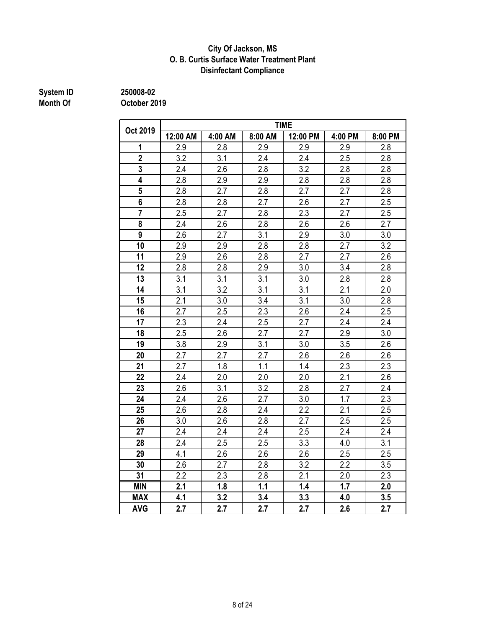### **City Of Jackson, MS O. B. Curtis Surface Water Treatment Plant Disinfectant Compliance**

# **System ID 250008-02**

|                         |          |         |         | <b>TIME</b>      |                  |         |
|-------------------------|----------|---------|---------|------------------|------------------|---------|
| Oct 2019                | 12:00 AM | 4:00 AM | 8:00 AM | 12:00 PM         | 4:00 PM          | 8:00 PM |
| 1                       | 2.9      | 2.8     | 2.9     | 2.9              | 2.9              | 2.8     |
| $\overline{2}$          | 3.2      | 3.1     | 2.4     | 2.4              | 2.5              | 2.8     |
| $\overline{\mathbf{3}}$ | 2.4      | 2.6     | 2.8     | 3.2              | 2.8              | 2.8     |
| $\overline{4}$          | 2.8      | 2.9     | 2.9     | 2.8              | 2.8              | 2.8     |
| 5                       | 2.8      | 2.7     | 2.8     | 2.7              | 2.7              | 2.8     |
| 6                       | 2.8      | 2.8     | 2.7     | 2.6              | 2.7              | 2.5     |
|                         | 2.5      | 2.7     | 2.8     | 2.3              | 2.7              | 2.5     |
| 8                       | 2.4      | 2.6     | 2.8     | 2.6              | 2.6              | 2.7     |
| 9                       | 2.6      | 2.7     | 3.1     | 2.9              | 3.0              | 3.0     |
| 10                      | 2.9      | 2.9     | 2.8     | 2.8              | 2.7              | 3.2     |
| 11                      | 2.9      | 2.6     | 2.8     | 2.7              | 2.7              | 2.6     |
| 12                      | 2.8      | 2.8     | 2.9     | 3.0              | 3.4              | 2.8     |
| 13                      | 3.1      | 3.1     | 3.1     | 3.0              | 2.8              | 2.8     |
| 14                      | 3.1      | 3.2     | 3.1     | 3.1              | 2.1              | 2.0     |
| 15                      | 2.1      | 3.0     | 3.4     | 3.1              | 3.0              | 2.8     |
| 16                      | 2.7      | 2.5     | 2.3     | 2.6              | 2.4              | 2.5     |
| 17                      | 2.3      | 2.4     | 2.5     | 2.7              | 2.4              | 2.4     |
| 18                      | 2.5      | 2.6     | 2.7     | 2.7              | 2.9              | 3.0     |
| 19                      | 3.8      | 2.9     | 3.1     | 3.0              | 3.5              | 2.6     |
| 20                      | 2.7      | 2.7     | 2.7     | 2.6              | $\overline{2.6}$ | 2.6     |
| 21                      | 2.7      | 1.8     | 1.1     | 1.4              | 2.3              | 2.3     |
| 22                      | 2.4      | 2.0     | 2.0     | 2.0              | 2.1              | 2.6     |
| 23                      | 2.6      | 3.1     | 3.2     | 2.8              | 2.7              | 2.4     |
| 24                      | 2.4      | 2.6     | 2.7     | 3.0              | 1.7              | 2.3     |
| 25                      | 2.6      | 2.8     | 2.4     | 2.2              | 2.1              | 2.5     |
| 26                      | 3.0      | 2.6     | 2.8     | 2.7              | 2.5              | 2.5     |
| 27                      | 2.4      | 2.4     | 2.4     | 2.5              | 2.4              | 2.4     |
| 28                      | 2.4      | 2.5     | 2.5     | 3.3              | 4.0              | 3.1     |
| 29                      | 4.1      | 2.6     | 2.6     | 2.6              | 2.5              | 2.5     |
| 30                      | 2.6      | 2.7     | 2.8     | $\overline{3.2}$ | $\overline{2.2}$ | 3.5     |
| 31                      | 2.2      | 2.3     | 2.8     | 2.1              | 2.0              | 2.3     |
| <b>MIN</b>              | 2.1      | 1.8     | 1.1     | 1.4              | 1.7              | 2.0     |
| <b>MAX</b>              | 4.1      | 3.2     | 3.4     | 3.3              | 4.0              | 3.5     |
| <b>AVG</b>              | 2.7      | 2.7     | 2.7     | 2.7              | 2.6              | 2.7     |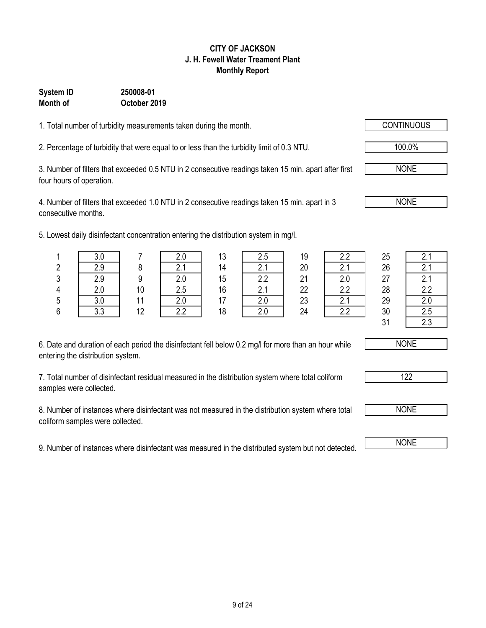### 9 of 24

#### **CITY OF JACKSON J. H. Fewell Water Treament Plant Monthly Report**

### **System ID 250008-01 Month of October 2019**

1. Total number of turbidity measurements taken during the month.

2. Percentage of turbidity that were equal to or less than the turbidity limit of 0.3 NTU. 100.0%

3. Number of filters that exceeded 0.5 NTU in 2 consecutive readings taken 15 min. apart after first four hours of operation.

4. Number of filters that exceeded 1.0 NTU in 2 consecutive readings taken 15 min. apart in 3 consecutive months.

5. Lowest daily disinfectant concentration entering the distribution system in mg/l.

| 6. Date and duration of each period the disinfectant fell below 0.2 mg/l for more than an hour while |  |
|------------------------------------------------------------------------------------------------------|--|
| entering the distribution system.                                                                    |  |

7. Total number of disinfectant residual measured in the distribution system where total coliform samples were collected.

8. Number of instances where disinfectant was not measured in the distribution system where total coliform samples were collected.

9. Number of instances where disinfectant was measured in the distributed system but not detected. NONE

|        | . . |    |        |    |                 |        |                  |    |     |
|--------|-----|----|--------|----|-----------------|--------|------------------|----|-----|
|        | v.v |    |        | 13 | 2.5             | 19     |                  | 25 | 2.1 |
| ŋ<br>۷ | 2.9 |    | $\sim$ | 14 | $\sim$          | 20     |                  | 26 | 2.1 |
| 3      | 2.9 | a  | 2.0    | 15 | っっ              | 21     | ን በ              | 27 | 2.1 |
| 4      | 2.0 | 10 | 2.5    | 16 | ⌒               | 22     | 2.2              | 28 | 2.2 |
| 5      | 3.0 |    | 2.0    | 17 | $\Omega$<br>Z.U | 23     | $\mathsf{Z}$ . I | 29 |     |
| R.     | २ २ | 12 | っっ     | 18 | ን በ             | $2\pi$ | っっ               | ٩V | クら  |





122

NONE



NONE

NONE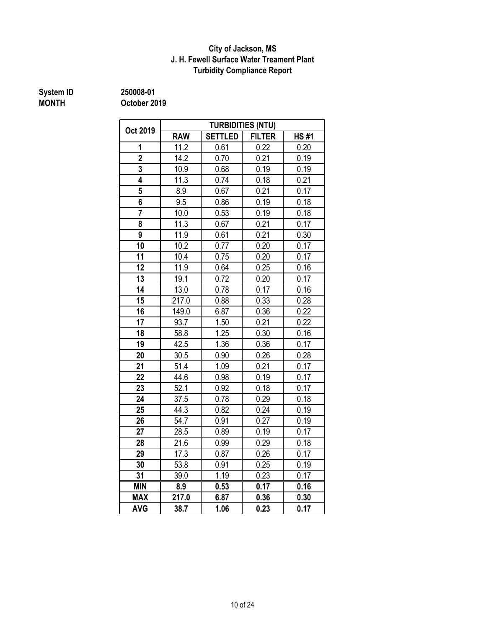### **J. H. Fewell Surface Water Treament Plant Turbidity Compliance Report City of Jackson, MS**

# **System ID** 250008-01<br> **MONTH** October 20

**MONTH October 2019**

| Oct 2019        |                   |                | <b>TURBIDITIES (NTU)</b> |             |
|-----------------|-------------------|----------------|--------------------------|-------------|
|                 | <b>RAW</b>        | <b>SETTLED</b> | <b>FILTER</b>            | <b>HS#1</b> |
| 1               | 11.2              | 0.61           | 0.22                     | 0.20        |
| $\overline{2}$  | 14.2              | 0.70           | 0.21                     | 0.19        |
| 3               | 10.9              | 0.68           | 0.19                     | 0.19        |
| 4               | 11.3              | 0.74           | 0.18                     | 0.21        |
| $\overline{5}$  | 8.9               | 0.67           | 0.21                     | 0.17        |
| 6               | 9.5               | 0.86           | 0.19                     | 0.18        |
| $\overline{7}$  | 10.0              | 0.53           | 0.19                     | 0.18        |
| 8               | 11.3              | 0.67           | 0.21                     | 0.17        |
| 9               | 11.9              | 0.61           | 0.21                     | 0.30        |
| $\overline{1}0$ | 10.2              | 0.77           | 0.20                     | 0.17        |
| 11              | 10.4              | 0.75           | 0.20                     | 0.17        |
| 12              | 11.9              | 0.64           | 0.25                     | 0.16        |
| 13              | 19.1              | 0.72           | 0.20                     | 0.17        |
| 14              | 13.0              | 0.78           | 0.17                     | 0.16        |
| 15              | 217.0             | 0.88           | 0.33                     | 0.28        |
| 16              | 149.0             | 6.87           | 0.36                     | 0.22        |
| 17              | 93.7              | 1.50           | 0.21                     | 0.22        |
| 18              | 58.8              | 1.25           | 0.30                     | 0.16        |
| 19              | 42.5              | 1.36           | 0.36                     | 0.17        |
| 20              | 30.5              | 0.90           | 0.26                     | 0.28        |
| 21              | 51.4              | 1.09           | 0.21                     | 0.17        |
| 22              | 44.6              | 0.98           | 0.19                     | 0.17        |
| 23              | $\overline{52.1}$ | 0.92           | 0.18                     | 0.17        |
| 24              | 37.5              | 0.78           | 0.29                     | 0.18        |
| 25              | 44.3              | 0.82           | 0.24                     | 0.19        |
| 26              | 54.7              | 0.91           | 0.27                     | 0.19        |
| 27              | 28.5              | 0.89           | 0.19                     | 0.17        |
| 28              | 21.6              | 0.99           | 0.29                     | 0.18        |
| 29              | $17.\overline{3}$ | 0.87           | 0.26                     | 0.17        |
| 30              | 53.8              | 0.91           | 0.25                     | 0.19        |
| 31              | 39.0              | 1.19           | 0.23                     | 0.17        |
| <b>MIN</b>      | 8.9               | 0.53           | 0.17                     | 0.16        |
| <b>MAX</b>      | 217.0             | 6.87           | 0.36                     | 0.30        |
| <b>AVG</b>      | 38.7              | 1.06           | 0.23                     | 0.17        |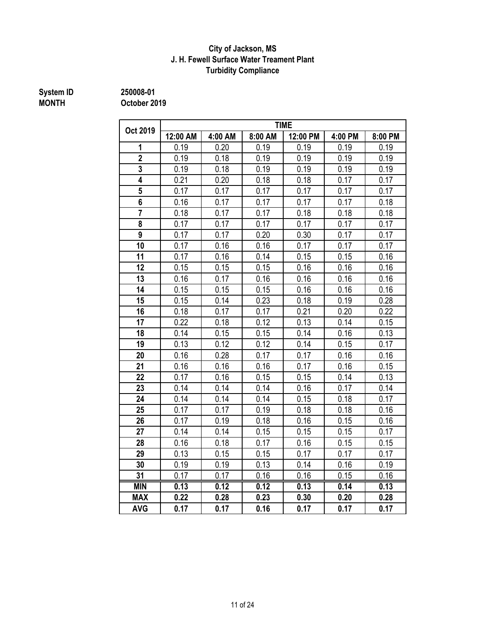### **J. H. Fewell Surface Water Treament Plant Turbidity Compliance City of Jackson, MS**

### **MONTH October 2019**

**System ID 250008-01**

|                         |          |         |         | <b>TIME</b> |         |         |
|-------------------------|----------|---------|---------|-------------|---------|---------|
| Oct 2019                | 12:00 AM | 4:00 AM | 8:00 AM | 12:00 PM    | 4:00 PM | 8:00 PM |
| 1                       | 0.19     | 0.20    | 0.19    | 0.19        | 0.19    | 0.19    |
| $\overline{2}$          | 0.19     | 0.18    | 0.19    | 0.19        | 0.19    | 0.19    |
| 3                       | 0.19     | 0.18    | 0.19    | 0.19        | 0.19    | 0.19    |
| $\overline{\mathbf{4}}$ | 0.21     | 0.20    | 0.18    | 0.18        | 0.17    | 0.17    |
| 5                       | 0.17     | 0.17    | 0.17    | 0.17        | 0.17    | 0.17    |
| $\overline{\mathbf{6}}$ | 0.16     | 0.17    | 0.17    | 0.17        | 0.17    | 0.18    |
| $\overline{7}$          | 0.18     | 0.17    | 0.17    | 0.18        | 0.18    | 0.18    |
| 8                       | 0.17     | 0.17    | 0.17    | 0.17        | 0.17    | 0.17    |
| $\overline{9}$          | 0.17     | 0.17    | 0.20    | 0.30        | 0.17    | 0.17    |
| 10                      | 0.17     | 0.16    | 0.16    | 0.17        | 0.17    | 0.17    |
| 11                      | 0.17     | 0.16    | 0.14    | 0.15        | 0.15    | 0.16    |
| 12                      | 0.15     | 0.15    | 0.15    | 0.16        | 0.16    | 0.16    |
| 13                      | 0.16     | 0.17    | 0.16    | 0.16        | 0.16    | 0.16    |
| 14                      | 0.15     | 0.15    | 0.15    | 0.16        | 0.16    | 0.16    |
| 15                      | 0.15     | 0.14    | 0.23    | 0.18        | 0.19    | 0.28    |
| 16                      | 0.18     | 0.17    | 0.17    | 0.21        | 0.20    | 0.22    |
| 17                      | 0.22     | 0.18    | 0.12    | 0.13        | 0.14    | 0.15    |
| 18                      | 0.14     | 0.15    | 0.15    | 0.14        | 0.16    | 0.13    |
| 19                      | 0.13     | 0.12    | 0.12    | 0.14        | 0.15    | 0.17    |
| 20                      | 0.16     | 0.28    | 0.17    | 0.17        | 0.16    | 0.16    |
| 21                      | 0.16     | 0.16    | 0.16    | 0.17        | 0.16    | 0.15    |
| 22                      | 0.17     | 0.16    | 0.15    | 0.15        | 0.14    | 0.13    |
| 23                      | 0.14     | 0.14    | 0.14    | 0.16        | 0.17    | 0.14    |
| 24                      | 0.14     | 0.14    | 0.14    | 0.15        | 0.18    | 0.17    |
| 25                      | 0.17     | 0.17    | 0.19    | 0.18        | 0.18    | 0.16    |
| 26                      | 0.17     | 0.19    | 0.18    | 0.16        | 0.15    | 0.16    |
| 27                      | 0.14     | 0.14    | 0.15    | 0.15        | 0.15    | 0.17    |
| 28                      | 0.16     | 0.18    | 0.17    | 0.16        | 0.15    | 0.15    |
| 29                      | 0.13     | 0.15    | 0.15    | 0.17        | 0.17    | 0.17    |
| 30                      | 0.19     | 0.19    | 0.13    | 0.14        | 0.16    | 0.19    |
| 31                      | 0.17     | 0.17    | 0.16    | 0.16        | 0.15    | 0.16    |
| <b>MIN</b>              | 0.13     | 0.12    | 0.12    | 0.13        | 0.14    | 0.13    |
| <b>MAX</b>              | 0.22     | 0.28    | 0.23    | 0.30        | 0.20    | 0.28    |
| <b>AVG</b>              | 0.17     | 0.17    | 0.16    | 0.17        | 0.17    | 0.17    |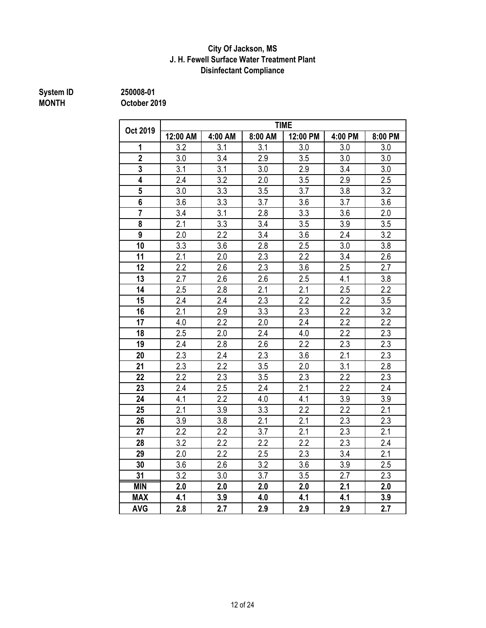### **Disinfectant Compliance City Of Jackson, MS J. H. Fewell Surface Water Treatment Plant**

# **System ID** 250008-01<br> **MONTH** October 20

**MONTH October 2019**

|                |          |         |                  | <b>TIME</b>      |                  |                  |
|----------------|----------|---------|------------------|------------------|------------------|------------------|
| Oct 2019       | 12:00 AM | 4:00 AM | 8:00 AM          | 12:00 PM         | 4:00 PM          | 8:00 PM          |
| 1              | 3.2      | 3.1     | 3.1              | 3.0              | 3.0              | $3.0\,$          |
| $\overline{2}$ | 3.0      | 3.4     | 2.9              | 3.5              | 3.0              | 3.0              |
| $\overline{3}$ | 3.1      | 3.1     | 3.0              | 2.9              | 3.4              | 3.0              |
| 4              | 2.4      | 3.2     | 2.0              | 3.5              | 2.9              | 2.5              |
| 5              | 3.0      | 3.3     | 3.5              | 3.7              | 3.8              | 3.2              |
| 6              | 3.6      | 3.3     | 3.7              | 3.6              | 3.7              | 3.6              |
| $\overline{7}$ | 3.4      | 3.1     | 2.8              | 3.3              | 3.6              | 2.0              |
| 8              | 2.1      | 3.3     | 3.4              | 3.5              | 3.9              | 3.5              |
| 9              | 2.0      | 2.2     | 3.4              | 3.6              | 2.4              | 3.2              |
| 10             | 3.3      | 3.6     | 2.8              | 2.5              | 3.0              | 3.8              |
| 11             | 2.1      | 2.0     | 2.3              | 2.2              | 3.4              | 2.6              |
| 12             | 2.2      | 2.6     | 2.3              | 3.6              | 2.5              | 2.7              |
| 13             | 2.7      | 2.6     | 2.6              | 2.5              | 4.1              | 3.8              |
| 14             | 2.5      | 2.8     | 2.1              | $\overline{2.1}$ | 2.5              | $\overline{2.2}$ |
| 15             | 2.4      | 2.4     | $\overline{2.3}$ | $\overline{2.2}$ | $\overline{2.2}$ | 3.5              |
| 16             | 2.1      | 2.9     | 3.3              | 2.3              | 2.2              | 3.2              |
| 17             | 4.0      | 2.2     | 2.0              | 2.4              | 2.2              | 2.2              |
| 18             | 2.5      | 2.0     | 2.4              | 4.0              | 2.2              | 2.3              |
| 19             | 2.4      | 2.8     | 2.6              | 2.2              | 2.3              | 2.3              |
| 20             | 2.3      | 2.4     | 2.3              | 3.6              | 2.1              | 2.3              |
| 21             | 2.3      | 2.2     | 3.5              | 2.0              | 3.1              | 2.8              |
| 22             | 2.2      | 2.3     | 3.5              | 2.3              | 2.2              | 2.3              |
| 23             | 2.4      | 2.5     | 2.4              | 2.1              | 2.2              | 2.4              |
| 24             | 4.1      | 2.2     | 4.0              | 4.1              | 3.9              | 3.9              |
| 25             | 2.1      | 3.9     | 3.3              | 2.2              | 2.2              | 2.1              |
| 26             | 3.9      | 3.8     | 2.1              | 2.1              | 2.3              | 2.3              |
| 27             | 2.2      | 2.2     | 3.7              | 2.1              | 2.3              | 2.1              |
| 28             | 3.2      | 2.2     | 2.2              | 2.2              | 2.3              | 2.4              |
| 29             | 2.0      | 2.2     | 2.5              | 2.3              | 3.4              | 2.1              |
| 30             | 3.6      | 2.6     | 3.2              | 3.6              | 3.9              | 2.5              |
| 31             | 3.2      | 3.0     | 3.7              | 3.5              | 2.7              | 2.3              |
| <b>MIN</b>     | 2.0      | 2.0     | 2.0              | 2.0              | 2.1              | 2.0              |
| <b>MAX</b>     | 4.1      | 3.9     | 4.0              | 4.1              | 4.1              | 3.9              |
| <b>AVG</b>     | 2.8      | 2.7     | 2.9              | 2.9              | 2.9              | 2.7              |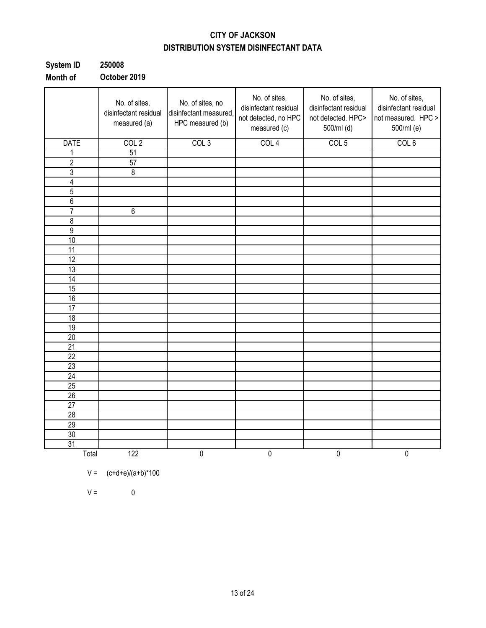### **CITY OF JACKSON DISTRIBUTION SYSTEM DISINFECTANT DATA**

| System ID | 250008       |
|-----------|--------------|
| Month of  | October 2019 |

|                 | No. of sites,<br>disinfectant residual<br>measured (a) | No. of sites, no<br>disinfectant measured,<br>HPC measured (b) | No. of sites,<br>disinfectant residual<br>not detected, no HPC<br>measured (c) | No. of sites,<br>disinfectant residual<br>not detected. HPC><br>500/ml (d) | No. of sites,<br>disinfectant residual<br>not measured. HPC ><br>500/ml (e) |
|-----------------|--------------------------------------------------------|----------------------------------------------------------------|--------------------------------------------------------------------------------|----------------------------------------------------------------------------|-----------------------------------------------------------------------------|
| <b>DATE</b>     | COL <sub>2</sub>                                       | COL <sub>3</sub>                                               | COL <sub>4</sub>                                                               | COL <sub>5</sub>                                                           | COL <sub>6</sub>                                                            |
| 1               | 51                                                     |                                                                |                                                                                |                                                                            |                                                                             |
| $\overline{2}$  | 57                                                     |                                                                |                                                                                |                                                                            |                                                                             |
| 3               | $\bf 8$                                                |                                                                |                                                                                |                                                                            |                                                                             |
| 4               |                                                        |                                                                |                                                                                |                                                                            |                                                                             |
| $\overline{5}$  |                                                        |                                                                |                                                                                |                                                                            |                                                                             |
| $6\,$           |                                                        |                                                                |                                                                                |                                                                            |                                                                             |
| 7               | 6                                                      |                                                                |                                                                                |                                                                            |                                                                             |
| $\overline{8}$  |                                                        |                                                                |                                                                                |                                                                            |                                                                             |
| $\overline{9}$  |                                                        |                                                                |                                                                                |                                                                            |                                                                             |
| 10              |                                                        |                                                                |                                                                                |                                                                            |                                                                             |
| 11              |                                                        |                                                                |                                                                                |                                                                            |                                                                             |
| $\overline{12}$ |                                                        |                                                                |                                                                                |                                                                            |                                                                             |
| 13              |                                                        |                                                                |                                                                                |                                                                            |                                                                             |
| 14              |                                                        |                                                                |                                                                                |                                                                            |                                                                             |
| 15              |                                                        |                                                                |                                                                                |                                                                            |                                                                             |
| 16              |                                                        |                                                                |                                                                                |                                                                            |                                                                             |
| 17              |                                                        |                                                                |                                                                                |                                                                            |                                                                             |
| 18              |                                                        |                                                                |                                                                                |                                                                            |                                                                             |
| 19              |                                                        |                                                                |                                                                                |                                                                            |                                                                             |
| 20              |                                                        |                                                                |                                                                                |                                                                            |                                                                             |
| 21              |                                                        |                                                                |                                                                                |                                                                            |                                                                             |
| $\overline{22}$ |                                                        |                                                                |                                                                                |                                                                            |                                                                             |
| 23              |                                                        |                                                                |                                                                                |                                                                            |                                                                             |
| $\overline{24}$ |                                                        |                                                                |                                                                                |                                                                            |                                                                             |
| 25              |                                                        |                                                                |                                                                                |                                                                            |                                                                             |
| 26              |                                                        |                                                                |                                                                                |                                                                            |                                                                             |
| $\overline{27}$ |                                                        |                                                                |                                                                                |                                                                            |                                                                             |
| $\overline{28}$ |                                                        |                                                                |                                                                                |                                                                            |                                                                             |
| 29              |                                                        |                                                                |                                                                                |                                                                            |                                                                             |
| 30              |                                                        |                                                                |                                                                                |                                                                            |                                                                             |
| $\overline{31}$ |                                                        |                                                                |                                                                                |                                                                            |                                                                             |
| Total           | 122                                                    | $\overline{0}$                                                 | $\overline{0}$                                                                 | 0                                                                          | $\overline{0}$                                                              |

$$
V = (c+d+e)/(a+b)^*100
$$

 $V = 0$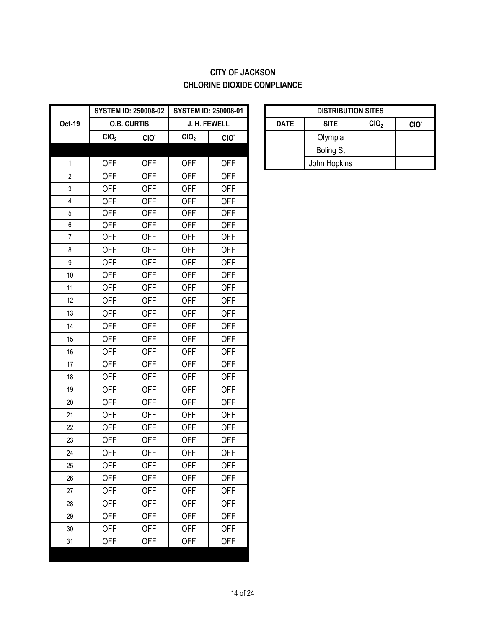### **CITY OF JACKSON CHLORINE DIOXIDE COMPLIANCE**

|                  |                  | <b>SYSTEM ID: 250008-02</b> |                  | <b>SYSTEM ID: 250008-01</b> |             | <b>DISTRIBUT</b> |
|------------------|------------------|-----------------------------|------------------|-----------------------------|-------------|------------------|
| Oct-19           |                  | <b>O.B. CURTIS</b>          |                  | J. H. FEWELL                | <b>DATE</b> | <b>SITE</b>      |
|                  | CIO <sub>2</sub> | CIO.                        | CIO <sub>2</sub> | CIO.                        |             | Olympia          |
|                  |                  |                             |                  |                             |             | <b>Boling St</b> |
| $\mathbf 1$      | <b>OFF</b>       | <b>OFF</b>                  | <b>OFF</b>       | <b>OFF</b>                  |             | John Hopkins     |
| $\mathbf{2}$     | <b>OFF</b>       | <b>OFF</b>                  | <b>OFF</b>       | <b>OFF</b>                  |             |                  |
| 3                | <b>OFF</b>       | <b>OFF</b>                  | <b>OFF</b>       | <b>OFF</b>                  |             |                  |
| $\overline{4}$   | <b>OFF</b>       | <b>OFF</b>                  | <b>OFF</b>       | <b>OFF</b>                  |             |                  |
| $\overline{5}$   | <b>OFF</b>       | <b>OFF</b>                  | <b>OFF</b>       | <b>OFF</b>                  |             |                  |
| $\boldsymbol{6}$ | <b>OFF</b>       | <b>OFF</b>                  | <b>OFF</b>       | <b>OFF</b>                  |             |                  |
| $\overline{7}$   | <b>OFF</b>       | <b>OFF</b>                  | <b>OFF</b>       | <b>OFF</b>                  |             |                  |
| 8                | <b>OFF</b>       | <b>OFF</b>                  | <b>OFF</b>       | <b>OFF</b>                  |             |                  |
| $\boldsymbol{9}$ | <b>OFF</b>       | <b>OFF</b>                  | <b>OFF</b>       | <b>OFF</b>                  |             |                  |
| 10               | <b>OFF</b>       | <b>OFF</b>                  | <b>OFF</b>       | <b>OFF</b>                  |             |                  |
| 11               | <b>OFF</b>       | <b>OFF</b>                  | <b>OFF</b>       | <b>OFF</b>                  |             |                  |
| 12               | <b>OFF</b>       | <b>OFF</b>                  | <b>OFF</b>       | <b>OFF</b>                  |             |                  |
| 13               | <b>OFF</b>       | <b>OFF</b>                  | <b>OFF</b>       | <b>OFF</b>                  |             |                  |
| 14               | <b>OFF</b>       | <b>OFF</b>                  | <b>OFF</b>       | <b>OFF</b>                  |             |                  |
| 15               | <b>OFF</b>       | <b>OFF</b>                  | <b>OFF</b>       | <b>OFF</b>                  |             |                  |
| 16               | <b>OFF</b>       | <b>OFF</b>                  | <b>OFF</b>       | <b>OFF</b>                  |             |                  |
| 17               | <b>OFF</b>       | <b>OFF</b>                  | <b>OFF</b>       | <b>OFF</b>                  |             |                  |
| 18               | <b>OFF</b>       | <b>OFF</b>                  | <b>OFF</b>       | <b>OFF</b>                  |             |                  |
| 19               | <b>OFF</b>       | <b>OFF</b>                  | <b>OFF</b>       | <b>OFF</b>                  |             |                  |
| 20               | <b>OFF</b>       | <b>OFF</b>                  | <b>OFF</b>       | <b>OFF</b>                  |             |                  |
| 21               | <b>OFF</b>       | <b>OFF</b>                  | <b>OFF</b>       | <b>OFF</b>                  |             |                  |
| 22               | <b>OFF</b>       | <b>OFF</b>                  | <b>OFF</b>       | <b>OFF</b>                  |             |                  |
| 23               | <b>OFF</b>       | <b>OFF</b>                  | <b>OFF</b>       | <b>OFF</b>                  |             |                  |
| 24               | <b>OFF</b>       | <b>OFF</b>                  | <b>OFF</b>       | <b>OFF</b>                  |             |                  |
| 25               | <b>OFF</b>       | <b>OFF</b>                  | <b>OFF</b>       | <b>OFF</b>                  |             |                  |
| 26               | <b>OFF</b>       | <b>OFF</b>                  | <b>OFF</b>       | <b>OFF</b>                  |             |                  |
| 27               | <b>OFF</b>       | <b>OFF</b>                  | <b>OFF</b>       | <b>OFF</b>                  |             |                  |
| 28               | <b>OFF</b>       | <b>OFF</b>                  | <b>OFF</b>       | <b>OFF</b>                  |             |                  |
| 29               | <b>OFF</b>       | <b>OFF</b>                  | <b>OFF</b>       | <b>OFF</b>                  |             |                  |
| 30               | <b>OFF</b>       | <b>OFF</b>                  | <b>OFF</b>       | <b>OFF</b>                  |             |                  |
| 31               | <b>OFF</b>       | <b>OFF</b>                  | <b>OFF</b>       | <b>OFF</b>                  |             |                  |
|                  |                  |                             |                  |                             |             |                  |

|             | <b>DISTRIBUTION SITES</b> |                  |                  |
|-------------|---------------------------|------------------|------------------|
| <b>DATE</b> | <b>SITE</b>               | CIO <sub>2</sub> | CIO <sup>-</sup> |
|             | Olympia                   |                  |                  |
|             | <b>Boling St</b>          |                  |                  |
|             | John Hopkins              |                  |                  |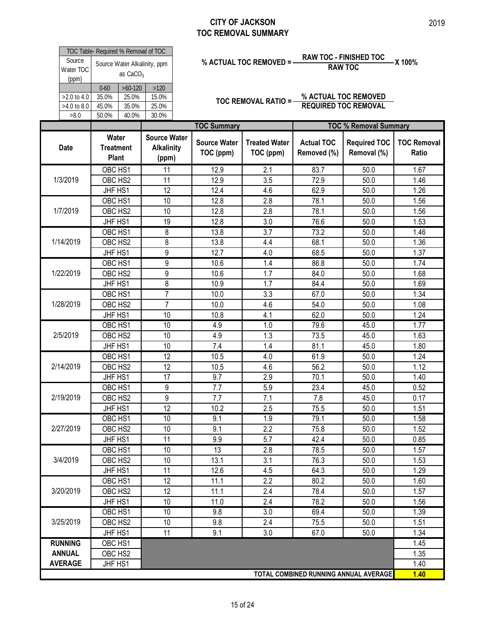| Source<br>Water TOC                         | TOC Table- Required % Removal of TOC      | as $CaCO3$                           | Source Water Alkalinity, ppm                      |                                  | % ACTUAL TOC REMOVED = -          |                                  | <b>RAW TOC - FINISHED TOC</b><br><b>RAW TOC</b>     | X 100%                      |
|---------------------------------------------|-------------------------------------------|--------------------------------------|---------------------------------------------------|----------------------------------|-----------------------------------|----------------------------------|-----------------------------------------------------|-----------------------------|
| (ppm)<br>>2.0 to 4.0<br>>4.0 to 8.0<br>>8.0 | $0 - 60$<br>35.0%<br>45.0%<br>50.0%       | $>60-120$<br>25.0%<br>35.0%<br>40.0% | >120<br>15.0%<br>25.0%<br>30.0%                   |                                  | <b>TOC REMOVAL RATIO =-</b>       |                                  | % ACTUAL TOC REMOVED<br><b>REQUIRED TOC REMOVAL</b> |                             |
|                                             |                                           |                                      |                                                   | <b>TOC Summary</b>               |                                   |                                  | <b>TOC % Removal Summary</b>                        |                             |
| <b>Date</b>                                 | Water<br><b>Treatment</b><br><b>Plant</b> |                                      | <b>Source Water</b><br><b>Alkalinity</b><br>(ppm) | <b>Source Water</b><br>TOC (ppm) | <b>Treated Water</b><br>TOC (ppm) | <b>Actual TOC</b><br>Removed (%) | <b>Required TOC</b><br>Removal (%)                  | <b>TOC Removal</b><br>Ratio |
|                                             | OBC HS1                                   |                                      | 11                                                | 12.9                             | 2.1                               | 83.7                             | 50.0                                                | 1.67                        |
| 1/3/2019                                    | OBC HS2                                   |                                      | 11                                                | 12.9                             | 3.5                               | 72.9                             | 50.0                                                | 1.46                        |
|                                             | JHF HS1                                   |                                      | 12                                                | 12.4                             | 4.6                               | 62.9                             | 50.0                                                | 1.26                        |
|                                             | OBC HS1                                   |                                      | 10                                                | 12.8                             | 2.8                               | 78.1                             | 50.0                                                | 1.56                        |
| 1/7/2019                                    | OBC HS2                                   |                                      | 10                                                | 12.8                             | 2.8                               | 78.1                             | 50.0                                                | 1.56                        |
|                                             | JHF HS1                                   |                                      | 19                                                | 12.8                             | 3.0                               | 76.6                             | 50.0                                                | 1.53                        |
|                                             | OBC HS1                                   |                                      | 8                                                 | 13.8                             | 3.7                               | 73.2                             | 50.0                                                | 1.46                        |
| 1/14/2019                                   | OBC HS2                                   |                                      | 8                                                 | 13.8                             | 4.4                               | 68.1                             | 50.0                                                | 1.36                        |
|                                             | JHF HS1                                   |                                      | 9                                                 | 12.7                             | 4.0                               | 68.5                             | 50.0                                                | 1.37                        |
|                                             | OBC HS1                                   |                                      | $\overline{9}$                                    | 10.6                             | 1.4                               | 86.8                             | 50.0                                                | 1.74                        |
| 1/22/2019                                   | OBC HS2                                   |                                      | 9                                                 | 10.6                             | 1.7                               | 84.0                             | 50.0                                                | 1.68                        |
|                                             | JHF HS1                                   |                                      | 8                                                 | 10.9                             | 1.7                               | 84.4                             | 50.0                                                | 1.69                        |
|                                             | OBC HS1                                   |                                      | 7                                                 | 10.0                             | 3.3                               | 67.0                             | 50.0                                                | 1.34                        |
| 1/28/2019                                   | OBC HS2                                   |                                      | $\overline{7}$                                    | 10.0                             | 4.6                               | 54.0                             | 50.0                                                | 1.08                        |
|                                             | JHF HS1                                   |                                      | 10                                                | 10.8                             | 4.1                               | 62.0                             | 50.0                                                | 1.24                        |
|                                             | OBC HS1                                   |                                      | 10                                                | 4.9                              | 1.0                               | 79.6                             | 45.0                                                | 1.77                        |
| 2/5/2019                                    | OBC HS2                                   |                                      | 10                                                | 4.9                              | 1.3                               | 73.5                             | 45.0                                                | 1.63                        |
|                                             | JHF HS1                                   |                                      | 10                                                | 7.4                              | 1.4                               | 81.1                             | 45.0                                                | 1.80                        |
|                                             | OBC HS1                                   |                                      | 12                                                | 10.5                             | 4.0                               | 61.9                             | 50.0                                                | 1.24                        |
| 2/14/2019                                   | OBC HS2                                   |                                      | 12                                                | 10.5                             | 4.6                               | 56.2                             | 50.0                                                | 1.12                        |
|                                             | JHF HS1                                   |                                      | 17                                                | 9.7                              | 2.9                               | 70.1                             | 50.0                                                | 1.40                        |
|                                             | OBC HS1                                   |                                      | 9                                                 | 7.7                              | 5.9                               | 23.4                             | 45.0                                                | 0.52                        |
| 2/19/2019                                   | OBC HS2                                   |                                      | $\overline{9}$                                    | 7.7                              | 7.1                               | 7.8                              | 45.0                                                | 0.17                        |
|                                             | JHF HS1                                   |                                      | 12                                                | 10.2                             | 2.5                               | 75.5                             | 50.0                                                | 1.51                        |
|                                             | OBC HS1                                   |                                      | 10                                                | 9.1                              | 1.9                               | 79.1                             | 50.0                                                | 1.58                        |
| 2/27/2019                                   | OBC HS2                                   |                                      | 10                                                | 9.1                              | 2.2                               | 75.8                             | 50.0                                                | 1.52                        |
|                                             | JHF HS1                                   |                                      | 11                                                | 9.9                              | 5.7                               | 42.4                             | 50.0                                                | 0.85                        |
|                                             | OBC HS1                                   |                                      | 10                                                | 13                               | 2.8                               | 78.5                             | 50.0                                                | 1.57                        |
| 3/4/2019                                    | OBC HS2                                   |                                      | 10                                                | 13.1                             | 3.1                               | 76.3                             | 50.0                                                | 1.53                        |
|                                             | JHF HS1                                   |                                      | 11                                                | 12.6                             | 4.5                               | 64.3                             | 50.0                                                | 1.29                        |
|                                             | OBC HS1                                   |                                      | 12                                                | 11.1                             | $\overline{2.2}$                  | 80.2                             | 50.0                                                | 1.60                        |
| 3/20/2019                                   | OBC HS2                                   |                                      | 12                                                | 11.1                             | 2.4                               | 78.4                             | 50.0                                                | 1.57                        |
|                                             | JHF HS1                                   |                                      | 10                                                | 11.0                             | 2.4                               | 78.2                             | 50.0                                                | 1.56                        |
|                                             | OBC HS1                                   |                                      | 10                                                | 9.8                              | 3.0                               | 69.4                             | 50.0                                                | 1.39                        |
| 3/25/2019                                   | OBC HS2                                   |                                      | 10                                                | 9.8                              | 2.4                               | 75.5                             | 50.0                                                | 1.51                        |
|                                             | JHF HS1                                   |                                      | 11                                                | 9.1                              | 3.0                               | 67.0                             | 50.0                                                | 1.34                        |
| <b>RUNNING</b>                              | OBC HS1                                   |                                      |                                                   |                                  |                                   |                                  |                                                     | 1.45                        |
| <b>ANNUAL</b>                               | OBC HS2                                   |                                      |                                                   |                                  |                                   |                                  |                                                     | 1.35                        |
| <b>AVERAGE</b>                              | JHF HS1                                   |                                      |                                                   |                                  |                                   |                                  |                                                     | 1.40                        |
|                                             |                                           |                                      |                                                   |                                  |                                   |                                  | TOTAL COMBINED RUNNING ANNUAL AVERAGE               | 1.40                        |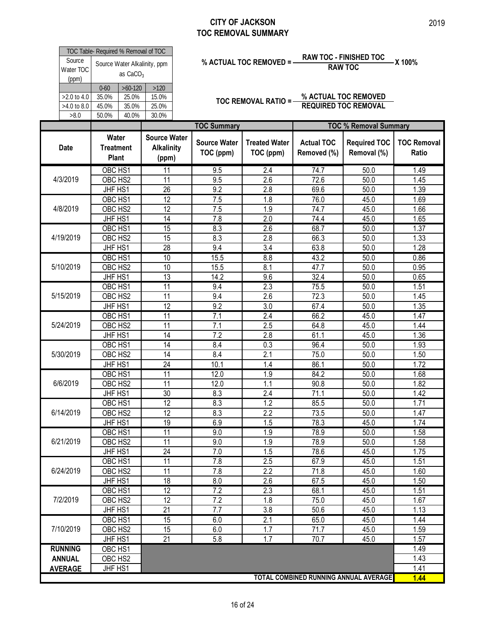|                                 |                                                      |                                                   | <b>CITY OF JACKSON</b>                                 | <b>TOC REMOVAL SUMMARY</b>        |                                  |                                                                    | 2019                        |
|---------------------------------|------------------------------------------------------|---------------------------------------------------|--------------------------------------------------------|-----------------------------------|----------------------------------|--------------------------------------------------------------------|-----------------------------|
| Source                          | TOC Table- Required % Removal of TOC                 |                                                   |                                                        | % ACTUAL TOC REMOVED = -          |                                  | <b>RAW TOC - FINISHED TOC</b>                                      | -X 100%                     |
| Water TOC<br>(ppm)              | Source Water Alkalinity, ppm<br>as CaCO <sub>3</sub> |                                                   |                                                        |                                   |                                  | <b>RAW TOC</b>                                                     |                             |
| $>2.0$ to 4.0                   | $>60-120$<br>$0 - 60$<br>25.0%<br>35.0%              | $>120$<br>15.0%                                   |                                                        | TOC REMOVAL RATIO =-              |                                  | % ACTUAL TOC REMOVED                                               |                             |
| $>4.0$ to 8.0<br>>8.0           | 45.0%<br>35.0%<br>40.0%<br>50.0%                     | 25.0%<br>30.0%                                    |                                                        |                                   | <b>REQUIRED TOC REMOVAL</b>      |                                                                    |                             |
| <b>Date</b>                     | Water<br><b>Treatment</b><br>Plant                   | <b>Source Water</b><br><b>Alkalinity</b><br>(ppm) | <b>TOC Summary</b><br><b>Source Water</b><br>TOC (ppm) | <b>Treated Water</b><br>TOC (ppm) | <b>Actual TOC</b><br>Removed (%) | <b>TOC % Removal Summary</b><br><b>Required TOC</b><br>Removal (%) | <b>TOC Removal</b><br>Ratio |
| 4/3/2019                        | OBC HS1<br>OBC HS2                                   | 11<br>11                                          | 9.5<br>9.5                                             | 2.4<br>2.6                        | 74.7<br>72.6                     | 50.0<br>50.0                                                       | 1.49<br>1.45                |
|                                 | JHF HS1<br>OBC HS1                                   | 26<br>$\overline{12}$                             | 9.2<br>7.5                                             | 2.8<br>1.8                        | 69.6<br>76.0                     | 50.0<br>45.0                                                       | 1.39<br>1.69                |
| 4/8/2019                        | OBC HS2<br>JHF HS1                                   | 12<br>14                                          | 7.5<br>7.8                                             | 1.9<br>2.0                        | 74.7<br>74.4                     | 45.0<br>45.0                                                       | 1.66<br>1.65                |
| 4/19/2019                       | OBC HS1                                              | 15                                                | 8.3                                                    | $\overline{2.6}$                  | 68.7                             | 50.0                                                               | 1.37                        |
|                                 | OBC HS2<br>JHF HS1                                   | 15<br>28                                          | 8.3<br>9.4                                             | 2.8<br>3.4                        | 66.3<br>63.8                     | 50.0<br>50.0                                                       | 1.33<br>1.28                |
| 5/10/2019                       | OBC HS1<br>OBC HS2                                   | $\overline{10}$<br>10                             | 15.5<br>15.5                                           | 8.8<br>8.1                        | 43.2<br>47.7                     | 50.0<br>50.0                                                       | 0.86<br>0.95                |
|                                 | JHF HS1<br>OBC HS1                                   | $\overline{13}$<br>11                             | 14.2<br>9.4                                            | 9.6<br>2.3                        | 32.4<br>75.5                     | 50.0<br>50.0                                                       | 0.65<br>1.51                |
|                                 |                                                      |                                                   |                                                        | 2.6                               | 72.3                             | 50.0                                                               | 1.45                        |
| 5/15/2019                       | OBC HS2                                              | 11                                                | 9.4                                                    |                                   |                                  |                                                                    |                             |
|                                 | JHF HS1<br>OBC HS1                                   | 12<br>11                                          | 9.2<br>7.1                                             | 3.0<br>2.4                        | 67.4<br>66.2                     | 50.0<br>45.0                                                       | 1.35<br>1.47                |
| 5/24/2019                       | OBC HS2                                              | $\overline{11}$                                   | 7.1                                                    | 2.5                               | 64.8                             | 45.0                                                               | 1.44                        |
|                                 | JHF HS1<br>OBC HS1                                   | 14<br>$\overline{14}$                             | 7.2<br>8.4                                             | 2.8<br>0.3                        | 61.1<br>96.4                     | 45.0<br>50.0                                                       | 1.36<br>1.93                |
| 5/30/2019                       | OBC HS2<br>JHF HS1                                   | 14<br>24                                          | 8.4<br>10.1                                            | 2.1<br>1.4                        | 75.0<br>86.1                     | 50.0<br>50.0                                                       | 1.50<br>1.72                |
|                                 | OBC HS1                                              | 11                                                | 12.0                                                   | 1.9                               | 84.2                             | 50.0                                                               | 1.68                        |
| 6/6/2019                        | OBC HS2<br>JHF HS1                                   | $\overline{11}$<br>$\overline{30}$                | 12.0<br>8.3                                            | 1.1<br>2.4                        | 90.8<br>71.1                     | 50.0<br>50.0                                                       | 1.82<br>1.42                |
|                                 | OBC HS1                                              | $\overline{12}$                                   | 8.3                                                    | 1.2                               | 85.5                             | 50.0                                                               | 1.71                        |
| 6/14/2019                       | OBC HS2<br>JHF HS1                                   | 12<br>19                                          | 8.3<br>6.9                                             | 2.2<br>1.5                        | 73.5<br>78.3                     | 50.0<br>45.0                                                       | 1.47<br>1.74                |
| 6/21/2019                       | OBC HS1                                              | $\overline{11}$<br>11                             | 9.0                                                    | 1.9                               | 78.9                             | 50.0                                                               | 1.58                        |
|                                 | OBC HS2<br>JHF HS1                                   | 24                                                | 9.0<br>7.0                                             | 1.9<br>1.5                        | 78.9<br>78.6                     | 50.0<br>45.0                                                       | 1.58<br>1.75                |
| 6/24/2019                       | OBC HS1<br>OBC HS2                                   | 11<br>11                                          | 7.8<br>7.8                                             | 2.5<br>$\overline{2.2}$           | 67.9<br>71.8                     | 45.0<br>45.0                                                       | 1.51<br>1.60                |
|                                 | JHF HS1                                              | 18                                                | 8.0                                                    | 2.6                               | 67.5                             | 45.0                                                               | 1.50                        |
| 7/2/2019                        | OBC HS1<br>OBC HS2                                   | 12<br>$\overline{12}$                             | 7.2<br>$\overline{7.2}$                                | 2.3<br>1.8                        | 68.1<br>75.0                     | 45.0<br>45.0                                                       | 1.51<br>1.67                |
|                                 | JHF HS1                                              | 21                                                | 7.7                                                    | 3.8                               | 50.6                             | 45.0                                                               | 1.13                        |
| 7/10/2019                       | OBC HS1<br>OBC HS2                                   | 15<br>15                                          | 6.0<br>6.0                                             | 2.1<br>1.7                        | 65.0<br>71.7                     | 45.0<br>45.0                                                       | 1.44<br>1.59                |
|                                 | JHF HS1                                              | $\overline{21}$                                   | 5.8                                                    | 1.7                               | 70.7                             | 45.0                                                               | 1.57                        |
| <b>RUNNING</b><br><b>ANNUAL</b> | OBC HS1<br>OBC HS2                                   |                                                   |                                                        |                                   |                                  |                                                                    | 1.49<br>1.43                |
|                                 |                                                      |                                                   |                                                        |                                   |                                  |                                                                    |                             |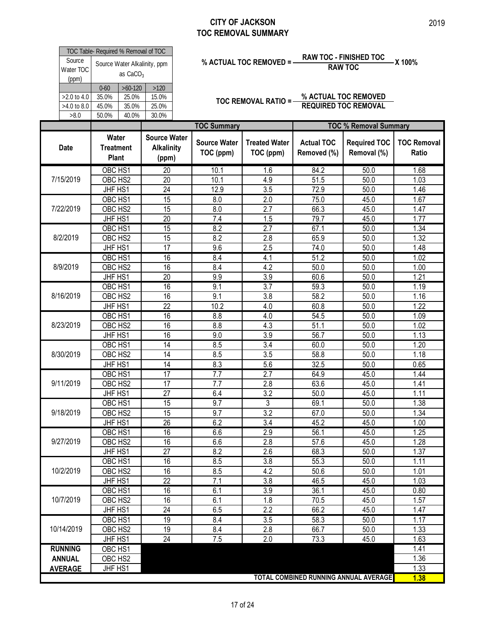|                                             |                                           |                                      |                                                   |                                                        | <b>CITY OF JACKSON</b><br><b>TOC REMOVAL SUMMARY</b> |                                          |                                                                    | 2019                         |
|---------------------------------------------|-------------------------------------------|--------------------------------------|---------------------------------------------------|--------------------------------------------------------|------------------------------------------------------|------------------------------------------|--------------------------------------------------------------------|------------------------------|
| Source<br>Water TOC                         | TOC Table- Required % Removal of TOC      | as CaCO <sub>3</sub>                 | Source Water Alkalinity, ppm                      |                                                        | % ACTUAL TOC REMOVED = -                             |                                          | <b>RAW TOC - FINISHED TOC</b><br><b>RAW TOC</b>                    | -X 100%                      |
| (ppm)<br>>2.0 to 4.0<br>>4.0 to 8.0<br>>8.0 | $0 - 60$<br>35.0%<br>45.0%<br>50.0%       | $>60-120$<br>25.0%<br>35.0%<br>40.0% | $>120$<br>15.0%<br>25.0%<br>30.0%                 |                                                        |                                                      | TOC REMOVAL RATIO = % ACTUAL TOC REMOVED | <b>REQUIRED TOC REMOVAL</b>                                        |                              |
| <b>Date</b>                                 | <b>Water</b><br><b>Treatment</b><br>Plant |                                      | <b>Source Water</b><br><b>Alkalinity</b><br>(ppm) | <b>TOC Summary</b><br><b>Source Water</b><br>TOC (ppm) | <b>Treated Water</b><br>TOC (ppm)                    | <b>Actual TOC</b><br>Removed (%)         | <b>TOC % Removal Summary</b><br><b>Required TOC</b><br>Removal (%) | <b>TOC Removal</b><br>Ratio  |
| 7/15/2019                                   | OBC HS1<br>OBC HS2<br>JHF HS1<br>OBC HS1  |                                      | $\overline{20}$<br>$\overline{20}$<br>24<br>15    | 10.1<br>10.1<br>12.9<br>8.0                            | 1.6<br>4.9<br>3.5<br>2.0                             | 84.2<br>51.5<br>72.9<br>75.0             | 50.0<br>50.0<br>50.0<br>45.0                                       | 1.68<br>1.03<br>1.46<br>1.67 |
| 7/22/2019                                   | OBC HS2<br>JHF HS1<br>OBC HS1             |                                      | 15<br>20<br>15                                    | 8.0<br>7.4<br>8.2                                      | 2.7<br>1.5<br>2.7                                    | 66.3<br>79.7<br>67.1                     | 45.0<br>45.0<br>50.0                                               | 1.47<br>1.77<br>1.34         |
| 8/2/2019                                    | OBC HS2<br>JHF HS1<br>OBC HS1             |                                      | 15<br>17<br>16                                    | 8.2<br>9.6<br>8.4                                      | 2.8<br>2.5<br>4.1                                    | 65.9<br>74.0<br>51.2                     | 50.0<br>50.0<br>50.0                                               | 1.32<br>1.48<br>1.02         |
| 8/9/2019                                    | OBC HS2<br>JHF HS1                        |                                      | 16<br>$\overline{20}$                             | 8.4<br>9.9                                             | 4.2<br>3.9                                           | 50.0<br>60.6                             | 50.0<br>50.0                                                       | 1.00<br>1.21                 |
| 8/16/2019                                   | OBC HS1<br>OBC HS2<br>JHF HS1             |                                      | 16<br>16<br>$\overline{22}$                       | 9.1<br>9.1<br>10.2                                     | 3.7<br>3.8<br>4.0                                    | 59.3<br>58.2<br>60.8                     | 50.0<br>50.0<br>50.0                                               | 1.19<br>1.16<br>1.22         |
| 8/23/2019                                   | OBC HS1<br>OBC HS2<br>JHF HS1             |                                      | 16<br>16<br>16                                    | 8.8<br>8.8<br>9.0                                      | 4.0<br>4.3<br>3.9                                    | 54.5<br>51.1<br>56.7                     | 50.0<br>50.0<br>50.0                                               | 1.09<br>1.02<br>1.13         |
| 8/30/2019                                   | OBC HS1<br>OBC HS2<br>JHF HS1             |                                      | $\overline{14}$<br>14<br>14                       | 8.5<br>8.5<br>8.3                                      | 3.4<br>3.5<br>5.6                                    | 60.0<br>58.8<br>32.5                     | 50.0<br>50.0<br>50.0                                               | 1.20<br>1.18<br>0.65         |
| 9/11/2019                                   | OBC HS1<br>OBC HS2                        |                                      | 17<br>17                                          | 7.7<br>7.7                                             | 2.7<br>2.8                                           | 64.9<br>63.6                             | 45.0<br>45.0                                                       | 1.44<br>1.41                 |
| 9/18/2019                                   | JHF HS1<br>OBC HS1<br>OBC HS2             |                                      | $\overline{27}$<br>15<br>15                       | 6.4<br>9.7<br>9.7                                      | $\overline{3.2}$<br>3<br>3.2                         | 50.0<br>69.1<br>67.0                     | 45.0<br>50.0<br>50.0                                               | 1.11<br>1.38<br>1.34         |
| 9/27/2019                                   | JHF HS1<br>OBC HS1<br>OBC HS2             |                                      | $\overline{26}$<br>16<br>16                       | 6.2<br>6.6<br>6.6                                      | $\overline{3.4}$<br>2.9                              | 45.2<br>56.1<br>57.6                     | 45.0<br>45.0<br>45.0                                               | 1.00<br>1.25<br>1.28         |
|                                             | JHF HS1<br>OBC HS1                        |                                      | 27<br>16                                          | 8.2<br>8.5                                             | 2.8<br>2.6<br>3.8                                    | 68.3<br>55.3                             | 50.0<br>50.0                                                       | 1.37<br>1.11                 |
| 10/2/2019                                   | OBC HS2<br>JHF HS1<br>OBC HS1             |                                      | 16<br>22<br>16                                    | 8.5<br>7.1<br>6.1                                      | 4.2<br>3.8<br>3.9                                    | 50.6<br>46.5<br>36.1                     | 50.0<br>45.0<br>45.0                                               | 1.01<br>1.03<br>0.80         |
| 10/7/2019                                   | OBC HS2<br>JHF HS1<br>OBC HS1             |                                      | 16<br>24<br>19                                    | 6.1<br>6.5<br>8.4                                      | 1.8<br>2.2<br>3.5                                    | 70.5<br>66.2<br>58.3                     | 45.0<br>45.0<br>50.0                                               | 1.57<br>1.47<br>1.17         |
| 10/14/2019<br><b>RUNNING</b>                | OBC HS2<br>JHF HS1<br>OBC HS1             |                                      | 19<br>24                                          | 8.4<br>7.5                                             | 2.8<br>2.0                                           | 66.7<br>73.3                             | 50.0<br>45.0                                                       | 1.33<br>1.63<br>1.41         |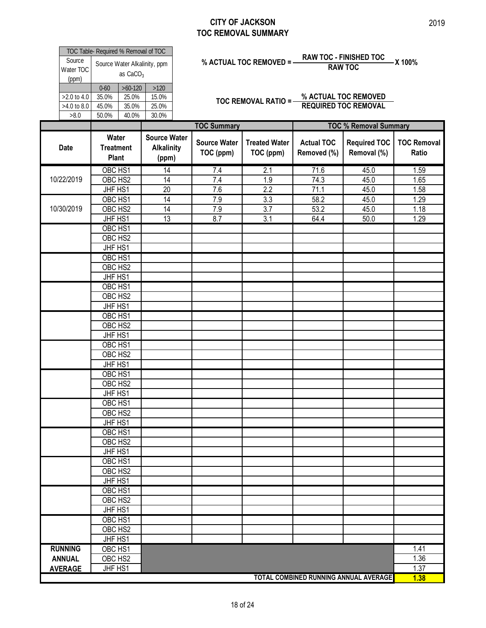|                                                   |                                                                                    |                                                   |                                                        | <b>CITY OF JACKSON</b><br><b>TOC REMOVAL SUMMARY</b> |                                                                    |                                                             | 2019                         |
|---------------------------------------------------|------------------------------------------------------------------------------------|---------------------------------------------------|--------------------------------------------------------|------------------------------------------------------|--------------------------------------------------------------------|-------------------------------------------------------------|------------------------------|
| Source<br>Water TOC<br>(ppm)                      | TOC Table- Required % Removal of TOC<br>Source Water Alkalinity, ppm<br>as $CaCO3$ |                                                   |                                                        | % ACTUAL TOC REMOVED = -                             |                                                                    | <b>RAW TOC - FINISHED TOC</b><br><b>RAW TOC</b>             | -X 100%                      |
| $>2.0$ to 4.0<br>>4.0 to 8.0<br>$>\!\!8.0$        | $>60-120$<br>$0 - 60$<br>35.0%<br>25.0%<br>45.0%<br>35.0%<br>40.0%<br>50.0%        | $>120$<br>15.0%<br>25.0%<br>30.0%                 |                                                        |                                                      | TOC REMOVAL RATIO = - % ACTUAL TOC REMOVED<br>REQUIRED TOC REMOVAL |                                                             |                              |
| Date                                              | Water<br><b>Treatment</b><br>Plant                                                 | <b>Source Water</b><br><b>Alkalinity</b><br>(ppm) | <b>TOC Summary</b><br><b>Source Water</b><br>TOC (ppm) | <b>Treated Water</b><br>TOC (ppm)                    | <b>Actual TOC</b><br>Removed (%)                                   | <b>TOC % Removal Summary</b><br>Required TOC<br>Removal (%) | <b>TOC Removal</b><br>Ratio  |
| 10/22/2019                                        | OBC HS1<br>OBC HS2<br>JHF HS1<br>OBC HS1                                           | 14<br>$\overline{14}$<br>20<br>14                 | 7.4<br>7.4<br>7.6<br>7.9                               | 2.1<br>1.9<br>2.2<br>3.3                             | 71.6<br>74.3<br>71.1<br>58.2                                       | 45.0<br>45.0<br>45.0<br>45.0                                | 1.59<br>1.65<br>1.58<br>1.29 |
| 10/30/2019                                        | OBC HS2<br>JHF HS1<br>OBC HS1<br>OBC HS2                                           | $\overline{14}$<br>13                             | 7.9<br>8.7                                             | 3.7<br>3.1                                           | 53.2<br>64.4                                                       | 45.0<br>50.0                                                | 1.18<br>1.29                 |
|                                                   | JHF HS1<br>OBC HS1<br>OBC HS2<br>JHF HS1                                           |                                                   |                                                        |                                                      |                                                                    |                                                             |                              |
|                                                   | OBC HS1<br>OBC HS2<br>JHF HS1<br>OBC HS1<br>OBC HS2                                |                                                   |                                                        |                                                      |                                                                    |                                                             |                              |
|                                                   | JHF HS1<br>OBC HS1<br>OBC HS2<br>JHF HS1                                           |                                                   |                                                        |                                                      |                                                                    |                                                             |                              |
|                                                   | OBC HS1<br>OBC HS2<br>JHF HS1<br>OBC HS1                                           |                                                   |                                                        |                                                      |                                                                    |                                                             |                              |
|                                                   | OBC HS2<br>JHF HS1<br>OBC HS1<br>OBC HS2                                           |                                                   |                                                        |                                                      |                                                                    |                                                             |                              |
|                                                   | JHF HS1<br>OBC HS1<br>OBC HS2<br>JHF HS1                                           |                                                   |                                                        |                                                      |                                                                    |                                                             |                              |
|                                                   | OBC HS1<br>OBC HS2<br>JHF HS1<br>OBC HS1                                           |                                                   |                                                        |                                                      |                                                                    |                                                             |                              |
|                                                   | OBC HS2<br>JHF HS1                                                                 |                                                   |                                                        |                                                      |                                                                    |                                                             |                              |
| <b>RUNNING</b><br><b>ANNUAL</b><br><b>AVERAGE</b> | OBC <sub>HS1</sub><br>OBC HS2<br>JHF HS1                                           |                                                   |                                                        |                                                      | TOTAL COMBINED RUNNING ANNUAL AVERAGE                              |                                                             | 1.41<br>1.36<br>1.37         |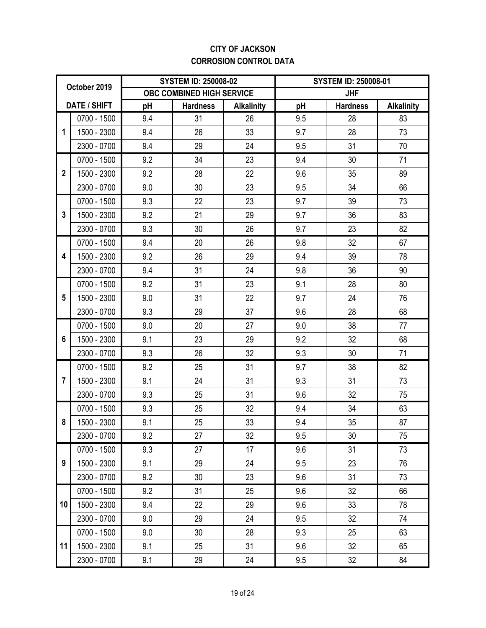### **CITY OF JACKSON CORROSION CONTROL DATA**

|                | October 2019        |     | <b>SYSTEM ID: 250008-02</b> |                   | <b>SYSTEM ID: 250008-01</b> |                 |                   |
|----------------|---------------------|-----|-----------------------------|-------------------|-----------------------------|-----------------|-------------------|
|                |                     |     | OBC COMBINED HIGH SERVICE   |                   |                             | <b>JHF</b>      |                   |
|                | <b>DATE / SHIFT</b> | pH  | <b>Hardness</b>             | <b>Alkalinity</b> | рH                          | <b>Hardness</b> | <b>Alkalinity</b> |
|                | 0700 - 1500         | 9.4 | 31                          | 26                | 9.5                         | 28              | 83                |
| 1              | 1500 - 2300         | 9.4 | 26                          | 33                | 9.7                         | 28              | 73                |
|                | 2300 - 0700         | 9.4 | 29                          | 24                | 9.5                         | 31              | 70                |
|                | 0700 - 1500         | 9.2 | 34                          | 23                | 9.4                         | 30              | 71                |
| $\overline{2}$ | 1500 - 2300         | 9.2 | 28                          | 22                | 9.6                         | 35              | 89                |
|                | 2300 - 0700         | 9.0 | 30                          | 23                | 9.5                         | 34              | 66                |
|                | 0700 - 1500         | 9.3 | 22                          | 23                | 9.7                         | 39              | 73                |
| 3              | 1500 - 2300         | 9.2 | 21                          | 29                | 9.7                         | 36              | 83                |
|                | 2300 - 0700         | 9.3 | 30                          | 26                | 9.7                         | 23              | 82                |
|                | 0700 - 1500         | 9.4 | 20                          | 26                | 9.8                         | 32              | 67                |
| 4              | 1500 - 2300         | 9.2 | 26                          | 29                | 9.4                         | 39              | 78                |
|                | 2300 - 0700         | 9.4 | 31                          | 24                | 9.8                         | 36              | 90                |
|                | 0700 - 1500         | 9.2 | 31                          | 23                | 9.1                         | 28              | 80                |
| 5              | 1500 - 2300         | 9.0 | 31                          | 22                | 9.7                         | 24              | 76                |
|                | 2300 - 0700         | 9.3 | 29                          | 37                | 9.6                         | 28              | 68                |
|                | 0700 - 1500         | 9.0 | 20                          | 27                | 9.0                         | 38              | 77                |
| 6              | 1500 - 2300         | 9.1 | 23                          | 29                | 9.2                         | 32              | 68                |
|                | 2300 - 0700         | 9.3 | 26                          | 32                | 9.3                         | 30              | 71                |
|                | 0700 - 1500         | 9.2 | 25                          | 31                | 9.7                         | 38              | 82                |
| $\overline{7}$ | 1500 - 2300         | 9.1 | 24                          | 31                | 9.3                         | 31              | 73                |
|                | 2300 - 0700         | 9.3 | 25                          | 31                | 9.6                         | 32              | 75                |
|                | 0700 - 1500         | 9.3 | 25                          | 32                | 9.4                         | 34              | 63                |
| 8              | 1500 - 2300         | 9.1 | 25                          | 33                | 9.4                         | 35              | 87                |
|                | 2300 - 0700         | 9.2 | 27                          | 32                | 9.5                         | 30              | 75                |
|                | 0700 - 1500         | 9.3 | 27                          | 17                | 9.6                         | 31              | 73                |
| 9              | 1500 - 2300         | 9.1 | 29                          | 24                | 9.5                         | 23              | 76                |
|                | 2300 - 0700         | 9.2 | 30                          | 23                | 9.6                         | 31              | 73                |
|                | 0700 - 1500         | 9.2 | 31                          | 25                | 9.6                         | 32              | 66                |
| 10             | 1500 - 2300         | 9.4 | 22                          | 29                | 9.6                         | 33              | 78                |
|                | 2300 - 0700         | 9.0 | 29                          | 24                | 9.5                         | 32              | 74                |
|                | 0700 - 1500         | 9.0 | 30                          | 28                | 9.3                         | 25              | 63                |
| 11             | 1500 - 2300         | 9.1 | 25                          | 31                | 9.6                         | 32              | 65                |
|                | 2300 - 0700         | 9.1 | 29                          | 24                | 9.5                         | 32              | 84                |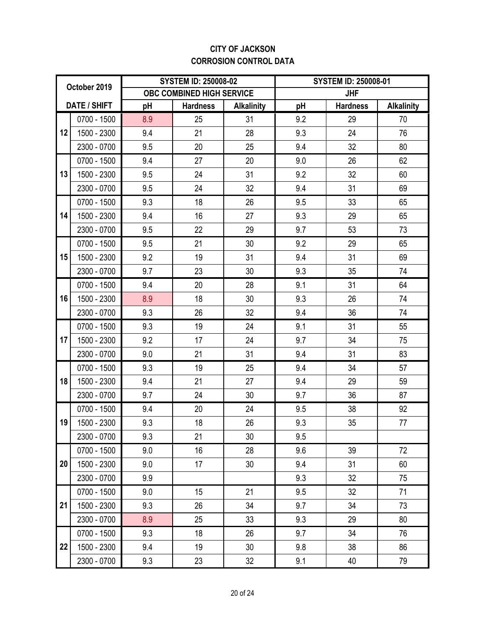### **CITY OF JACKSON CORROSION CONTROL DATA**

|    | October 2019        |     | <b>SYSTEM ID: 250008-02</b> |                   | <b>SYSTEM ID: 250008-01</b> |                 |                   |  |
|----|---------------------|-----|-----------------------------|-------------------|-----------------------------|-----------------|-------------------|--|
|    |                     |     | OBC COMBINED HIGH SERVICE   |                   |                             | <b>JHF</b>      |                   |  |
|    | <b>DATE / SHIFT</b> | pH  | <b>Hardness</b>             | <b>Alkalinity</b> | pH                          | <b>Hardness</b> | <b>Alkalinity</b> |  |
|    | 0700 - 1500         | 8.9 | 25                          | 31                | 9.2                         | 29              | 70                |  |
| 12 | 1500 - 2300         | 9.4 | 21                          | 28                | 9.3                         | 24              | 76                |  |
|    | 2300 - 0700         | 9.5 | 20                          | 25                | 9.4                         | 32              | 80                |  |
|    | 0700 - 1500         | 9.4 | 27                          | 20                | 9.0                         | 26              | 62                |  |
| 13 | 1500 - 2300         | 9.5 | 24                          | 31                | 9.2                         | 32              | 60                |  |
|    | 2300 - 0700         | 9.5 | 24                          | 32                | 9.4                         | 31              | 69                |  |
|    | 0700 - 1500         | 9.3 | 18                          | 26                | 9.5                         | 33              | 65                |  |
| 14 | 1500 - 2300         | 9.4 | 16                          | 27                | 9.3                         | 29              | 65                |  |
|    | 2300 - 0700         | 9.5 | 22                          | 29                | 9.7                         | 53              | 73                |  |
|    | 0700 - 1500         | 9.5 | 21                          | 30                | 9.2                         | 29              | 65                |  |
| 15 | 1500 - 2300         | 9.2 | 19                          | 31                | 9.4                         | 31              | 69                |  |
|    | 2300 - 0700         | 9.7 | 23                          | 30                | 9.3                         | 35              | 74                |  |
|    | 0700 - 1500         | 9.4 | 20                          | 28                | 9.1                         | 31              | 64                |  |
| 16 | 1500 - 2300         | 8.9 | 18                          | 30                | 9.3                         | 26              | 74                |  |
|    | 2300 - 0700         | 9.3 | 26                          | 32                | 9.4                         | 36              | 74                |  |
|    | 0700 - 1500         | 9.3 | 19                          | 24                | 9.1                         | 31              | 55                |  |
| 17 | 1500 - 2300         | 9.2 | 17                          | 24                | 9.7                         | 34              | 75                |  |
|    | 2300 - 0700         | 9.0 | 21                          | 31                | 9.4                         | 31              | 83                |  |
|    | 0700 - 1500         | 9.3 | 19                          | 25                | 9.4                         | 34              | 57                |  |
| 18 | 1500 - 2300         | 9.4 | 21                          | 27                | 9.4                         | 29              | 59                |  |
|    | 2300 - 0700         | 9.7 | 24                          | 30                | 9.7                         | 36              | 87                |  |
|    | 0700 - 1500         | 9.4 | 20                          | 24                | 9.5                         | 38              | 92                |  |
| 19 | 1500 - 2300         | 9.3 | 18                          | 26                | 9.3                         | 35              | 77                |  |
|    | 2300 - 0700         | 9.3 | 21                          | 30                | 9.5                         |                 |                   |  |
|    | 0700 - 1500         | 9.0 | 16                          | 28                | 9.6                         | 39              | 72                |  |
| 20 | 1500 - 2300         | 9.0 | 17                          | 30                | 9.4                         | 31              | 60                |  |
|    | 2300 - 0700         | 9.9 |                             |                   | 9.3                         | 32              | 75                |  |
|    | 0700 - 1500         | 9.0 | 15                          | 21                | 9.5                         | 32              | 71                |  |
| 21 | 1500 - 2300         | 9.3 | 26                          | 34                | 9.7                         | 34              | 73                |  |
|    | 2300 - 0700         | 8.9 | 25                          | 33                | 9.3                         | 29              | 80                |  |
|    | 0700 - 1500         | 9.3 | 18                          | 26                | 9.7                         | 34              | 76                |  |
| 22 | 1500 - 2300         | 9.4 | 19                          | 30                | 9.8                         | 38              | 86                |  |
|    | 2300 - 0700         | 9.3 | 23                          | 32                | 9.1                         | 40              | 79                |  |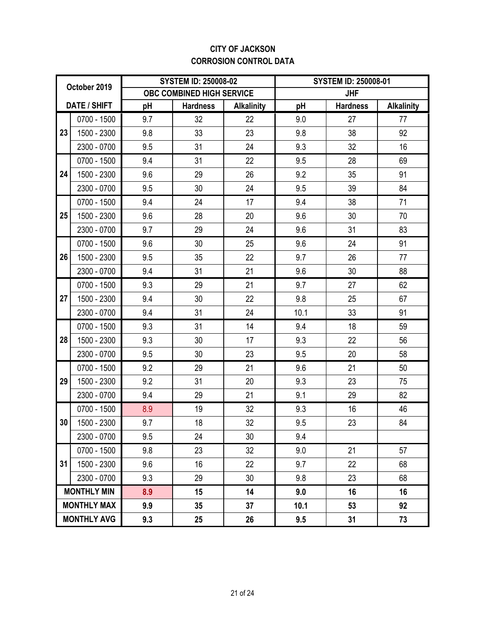### **CITY OF JACKSON CORROSION CONTROL DATA**

|    | October 2019       |     | <b>SYSTEM ID: 250008-02</b> |                   | <b>SYSTEM ID: 250008-01</b> |                 |                   |  |
|----|--------------------|-----|-----------------------------|-------------------|-----------------------------|-----------------|-------------------|--|
|    |                    |     | OBC COMBINED HIGH SERVICE   |                   |                             | <b>JHF</b>      |                   |  |
|    | DATE / SHIFT       | pH  | <b>Hardness</b>             | <b>Alkalinity</b> | рH                          | <b>Hardness</b> | <b>Alkalinity</b> |  |
|    | 0700 - 1500        | 9.7 | 32                          | 22                | 9.0                         | 27              | 77                |  |
| 23 | 1500 - 2300        | 9.8 | 33                          | 23                | 9.8                         | 38              | 92                |  |
|    | 2300 - 0700        | 9.5 | 31                          | 24                | 9.3                         | 32              | 16                |  |
|    | 0700 - 1500        | 9.4 | 31                          | 22                | 9.5                         | 28              | 69                |  |
| 24 | 1500 - 2300        | 9.6 | 29                          | 26                | 9.2                         | 35              | 91                |  |
|    | 2300 - 0700        | 9.5 | 30                          | 24                | 9.5                         | 39              | 84                |  |
|    | 0700 - 1500        | 9.4 | 24                          | 17                | 9.4                         | 38              | 71                |  |
| 25 | 1500 - 2300        | 9.6 | 28                          | 20                | 9.6                         | 30              | 70                |  |
|    | 2300 - 0700        | 9.7 | 29                          | 24                | 9.6                         | 31              | 83                |  |
|    | 0700 - 1500        | 9.6 | 30                          | 25                | 9.6                         | 24              | 91                |  |
| 26 | 1500 - 2300        | 9.5 | 35                          | 22                | 9.7                         | 26              | 77                |  |
|    | 2300 - 0700        | 9.4 | 31                          | 21<br>9.6         |                             | 30              | 88                |  |
|    | 0700 - 1500        | 9.3 | 29                          | 21                | 9.7                         | 27              | 62                |  |
| 27 | 1500 - 2300        | 9.4 | 30                          | 22                | 9.8                         | 25              | 67                |  |
|    | 2300 - 0700        | 9.4 | 31                          | 24                | 10.1                        | 33              | 91                |  |
|    | 0700 - 1500        | 9.3 | 31                          | 14                | 9.4                         | 18              | 59                |  |
| 28 | 1500 - 2300        | 9.3 | 30                          | 17                | 9.3                         | 22              | 56                |  |
|    | 2300 - 0700        | 9.5 | 30                          | 23                | 9.5                         | 20              | 58                |  |
|    | 0700 - 1500        | 9.2 | 29                          | 21                | 9.6                         | 21              | 50                |  |
| 29 | 1500 - 2300        | 9.2 | 31                          | 20                | 9.3                         | 23              | 75                |  |
|    | 2300 - 0700        | 9.4 | 29                          | 21                | 9.1                         | 29              | 82                |  |
|    | 0700 - 1500        | 8.9 | 19                          | 32                | 9.3                         | 16              | 46                |  |
| 30 | 1500 - 2300        | 9.7 | 18                          | 32                | 9.5                         | 23              | 84                |  |
|    | 2300 - 0700        | 9.5 | 24                          | 30                | 9.4                         |                 |                   |  |
|    | 0700 - 1500        | 9.8 | 23                          | 32                | 9.0                         | 21              | 57                |  |
| 31 | 1500 - 2300        | 9.6 | 16                          | 22                | 9.7                         | 22              | 68                |  |
|    | 2300 - 0700        | 9.3 | 29                          | 30                | 9.8                         | 23              | 68                |  |
|    | <b>MONTHLY MIN</b> | 8.9 | 15                          | 14                | 9.0                         | 16              | 16                |  |
|    | <b>MONTHLY MAX</b> | 9.9 | 35                          | 37                | 10.1                        | 53              | 92                |  |
|    | <b>MONTHLY AVG</b> | 9.3 | 25                          | 26                | 9.5                         | 31              | 73                |  |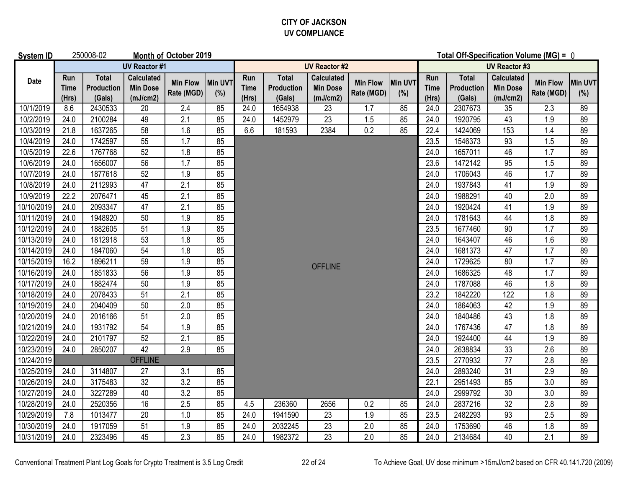### **CITY OF JACKSON UV COMPLIANCE**

| <b>System ID</b> |                             | 250008-02                            |                                                  | Month of October 2019         |                |                             |                                      |                                                  |                               |                | Total Off-Specification Volume (MG) = 0 |                                      |                                                  |                               |                       |
|------------------|-----------------------------|--------------------------------------|--------------------------------------------------|-------------------------------|----------------|-----------------------------|--------------------------------------|--------------------------------------------------|-------------------------------|----------------|-----------------------------------------|--------------------------------------|--------------------------------------------------|-------------------------------|-----------------------|
|                  |                             | <b>UV Reactor #1</b>                 |                                                  |                               |                |                             |                                      | <b>UV Reactor #2</b>                             |                               |                |                                         |                                      | <b>UV Reactor #3</b>                             |                               |                       |
| <b>Date</b>      | Run<br><b>Time</b><br>(Hrs) | Total<br><b>Production</b><br>(Gals) | <b>Calculated</b><br><b>Min Dose</b><br>(mJ/cm2) | <b>Min Flow</b><br>Rate (MGD) | Min UVT<br>(%) | Run<br><b>Time</b><br>(Hrs) | <b>Total</b><br>Production<br>(Gals) | <b>Calculated</b><br><b>Min Dose</b><br>(mJ/cm2) | <b>Min Flow</b><br>Rate (MGD) | Min UVT<br>(%) | Run<br><b>Time</b><br>(Hrs)             | <b>Total</b><br>Production<br>(Gals) | <b>Calculated</b><br><b>Min Dose</b><br>(mJ/cm2) | <b>Min Flow</b><br>Rate (MGD) | <b>Min UVT</b><br>(%) |
| 10/1/2019        | 8.6                         | 2430533                              | 20                                               | 2.4                           | 85             | 24.0                        | 1654938                              | 23                                               | 1.7                           | 85             | 24.0                                    | 2307673                              | 35                                               | 2.3                           | 89                    |
| 10/2/2019        | 24.0                        | 2100284                              | 49                                               | 2.1                           | 85             | 24.0                        | 1452979                              | 23                                               | 1.5                           | 85             | 24.0                                    | 1920795                              | 43                                               | 1.9                           | 89                    |
| 10/3/2019        | 21.8                        | 1637265                              | 58                                               | 1.6                           | 85             | 6.6                         | 181593                               | 2384                                             | 0.2                           | 85             | 22.4                                    | 1424069                              | 153                                              | 1.4                           | 89                    |
| 10/4/2019        | 24.0                        | 1742597                              | 55                                               | 1.7                           | 85             |                             |                                      |                                                  |                               |                | 23.5                                    | 1546373                              | 93                                               | 1.5                           | 89                    |
| 10/5/2019        | 22.6                        | 1767768                              | 52                                               | 1.8                           | 85             |                             |                                      |                                                  |                               |                | 24.0                                    | 1657011                              | 46                                               | 1.7                           | 89                    |
| 10/6/2019        | 24.0                        | 1656007                              | 56                                               | 1.7                           | 85             |                             |                                      |                                                  |                               |                | 23.6                                    | 1472142                              | 95                                               | 1.5                           | 89                    |
| 10/7/2019        | 24.0                        | 1877618                              | 52                                               | 1.9                           | 85             |                             |                                      |                                                  |                               |                | 24.0                                    | 1706043                              | 46                                               | 1.7                           | 89                    |
| 10/8/2019        | 24.0                        | 2112993                              | 47                                               | 2.1                           | 85             |                             |                                      |                                                  |                               |                | 24.0                                    | 1937843                              | 41                                               | 1.9                           | 89                    |
| 10/9/2019        | 22.2                        | 2076471                              | 45                                               | 2.1                           | 85             |                             |                                      |                                                  |                               |                | 24.0                                    | 1988291                              | 40                                               | 2.0                           | 89                    |
| 10/10/2019       | 24.0                        | 2093347                              | 47                                               | 2.1                           | 85             |                             |                                      |                                                  |                               |                | 24.0                                    | 1920424                              | 41                                               | 1.9                           | 89                    |
| 10/11/2019       | 24.0                        | 1948920                              | 50                                               | 1.9                           | 85             |                             |                                      |                                                  |                               |                | 24.0                                    | 1781643                              | 44                                               | 1.8                           | 89                    |
| 10/12/2019       | 24.0                        | 1882605                              | 51                                               | 1.9                           | 85             |                             |                                      |                                                  |                               |                | 23.5                                    | 1677460                              | 90                                               | 1.7                           | 89                    |
| 10/13/2019       | 24.0                        | 1812918                              | 53                                               | 1.8                           | 85             |                             |                                      |                                                  |                               |                | 24.0                                    | 1643407                              | 46                                               | 1.6                           | 89                    |
| 10/14/2019       | 24.0                        | 1847060                              | 54                                               | 1.8                           | 85             |                             |                                      |                                                  |                               |                | 24.0                                    | 1681373                              | 47                                               | 1.7                           | 89                    |
| 10/15/2019       | 16.2                        | 1896211                              | 59                                               | 1.9                           | 85             |                             |                                      | <b>OFFLINE</b>                                   |                               |                | 24.0                                    | 1729625                              | 80                                               | 1.7                           | 89                    |
| 10/16/2019       | 24.0                        | 1851833                              | 56                                               | 1.9                           | 85             |                             |                                      |                                                  |                               |                | 24.0                                    | 1686325                              | 48                                               | 1.7                           | 89                    |
| 10/17/2019       | 24.0                        | 1882474                              | 50                                               | 1.9                           | 85             |                             |                                      |                                                  |                               |                | 24.0                                    | 1787088                              | 46                                               | 1.8                           | 89                    |
| 10/18/2019       | 24.0                        | 2078433                              | 51                                               | 2.1                           | 85             |                             |                                      |                                                  |                               |                | 23.2                                    | 1842220                              | 122                                              | 1.8                           | 89                    |
| 10/19/2019       | 24.0                        | 2040409                              | 50                                               | 2.0                           | 85             |                             |                                      |                                                  |                               |                | 24.0                                    | 1864063                              | 42                                               | 1.9                           | 89                    |
| 10/20/2019       | 24.0                        | 2016166                              | 51                                               | 2.0                           | 85             |                             |                                      |                                                  |                               |                | 24.0                                    | 1840486                              | 43                                               | 1.8                           | 89                    |
| 10/21/2019       | 24.0                        | 1931792                              | 54                                               | 1.9                           | 85             |                             |                                      |                                                  |                               |                | 24.0                                    | 1767436                              | 47                                               | 1.8                           | 89                    |
| 10/22/2019       | 24.0                        | 2101797                              | 52                                               | $\overline{2.1}$              | 85             |                             |                                      |                                                  |                               |                | 24.0                                    | 1924400                              | 44                                               | 1.9                           | 89                    |
| 10/23/2019       | 24.0                        | 2850207                              | 42                                               | 2.9                           | 85             |                             |                                      |                                                  |                               |                | 24.0                                    | 2638834                              | 33                                               | 2.6                           | 89                    |
| 10/24/2019       |                             |                                      | <b>OFFLINE</b>                                   |                               |                |                             |                                      |                                                  |                               |                | 23.5                                    | 2770932                              | 77                                               | 2.8                           | 89                    |
| 10/25/2019       | 24.0                        | 3114807                              | 27                                               | 3.1                           | 85             |                             |                                      |                                                  |                               |                | 24.0                                    | 2893240                              | 31                                               | 2.9                           | 89                    |
| 10/26/2019       | 24.0                        | 3175483                              | $\overline{32}$                                  | 3.2                           | 85             |                             |                                      |                                                  |                               |                | 22.1                                    | 2951493                              | 85                                               | 3.0                           | 89                    |
| 10/27/2019       | 24.0                        | 3227289                              | 40                                               | $\overline{3.2}$              | 85             |                             |                                      |                                                  |                               |                | 24.0                                    | 2999792                              | 30                                               | 3.0                           | 89                    |
| 10/28/2019       | 24.0                        | 2520356                              | 16                                               | 2.5                           | 85             | 4.5                         | 236360                               | 2656                                             | 0.2                           | 85             | 24.0                                    | 2837216                              | 32                                               | 2.8                           | 89                    |
| 10/29/2019       | 7.8                         | 1013477                              | 20                                               | $1.0\,$                       | 85             | 24.0                        | 1941590                              | 23                                               | 1.9                           | 85             | 23.5                                    | 2482293                              | 93                                               | 2.5                           | 89                    |
| 10/30/2019       | 24.0                        | 1917059                              | 51                                               | 1.9                           | 85             | 24.0                        | 2032245                              | 23                                               | 2.0                           | 85             | 24.0                                    | 1753690                              | 46                                               | 1.8                           | 89                    |
| 10/31/2019       | 24.0                        | 2323496                              | 45                                               | 2.3                           | 85             | 24.0                        | 1982372                              | 23                                               | 2.0                           | 85             | 24.0                                    | 2134684                              | 40                                               | 2.1                           | 89                    |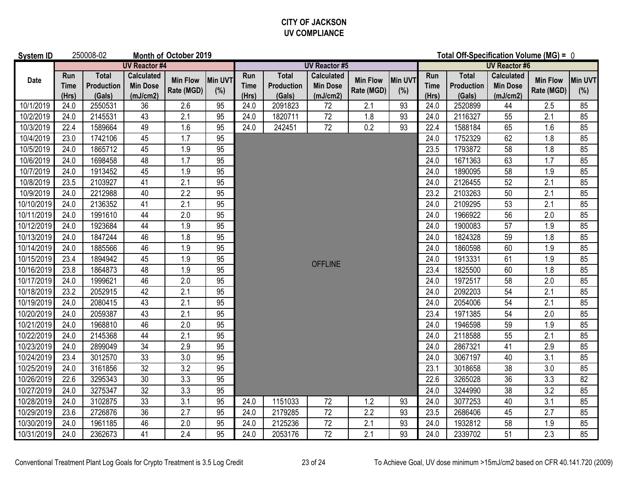### **CITY OF JACKSON UV COMPLIANCE**

| <b>System ID</b> |                      | 250008-02                                   |                                                  | Month of October 2019         |                |                             |                                      |                                                  | Total Off-Specification Volume (MG) = 0 |                |                             |                                      |                                                  |                               |                       |
|------------------|----------------------|---------------------------------------------|--------------------------------------------------|-------------------------------|----------------|-----------------------------|--------------------------------------|--------------------------------------------------|-----------------------------------------|----------------|-----------------------------|--------------------------------------|--------------------------------------------------|-------------------------------|-----------------------|
|                  |                      |                                             | <b>UV Reactor #4</b>                             |                               |                |                             |                                      | <b>UV Reactor #5</b>                             |                                         |                |                             |                                      | <b>UV Reactor #6</b>                             |                               |                       |
| Date             | Run<br>Time<br>(Hrs) | <b>Total</b><br><b>Production</b><br>(Gals) | <b>Calculated</b><br><b>Min Dose</b><br>(mJ/cm2) | <b>Min Flow</b><br>Rate (MGD) | Min UVT<br>(%) | Run<br><b>Time</b><br>(Hrs) | <b>Total</b><br>Production<br>(Gals) | <b>Calculated</b><br><b>Min Dose</b><br>(mJ/cm2) | <b>Min Flow</b><br>Rate (MGD)           | Min UVT<br>(%) | Run<br><b>Time</b><br>(Hrs) | <b>Total</b><br>Production<br>(Gals) | <b>Calculated</b><br><b>Min Dose</b><br>(mJ/cm2) | <b>Min Flow</b><br>Rate (MGD) | <b>Min UVT</b><br>(%) |
| 10/1/2019        | 24.0                 | 2550531                                     | 36                                               | 2.6                           | 95             | 24.0                        | 2091823                              | 72                                               | 2.1                                     | 93             | 24.0                        | 2520899                              | 44                                               | 2.5                           | 85                    |
| 10/2/2019        | 24.0                 | 2145531                                     | 43                                               | 2.1                           | 95             | 24.0                        | 1820711                              | 72                                               | 1.8                                     | 93             | 24.0                        | 2116327                              | 55                                               | 2.1                           | 85                    |
| 10/3/2019        | 22.4                 | 1589664                                     | 49                                               | 1.6                           | 95             | 24.0                        | 242451                               | $\overline{72}$                                  | 0.2                                     | 93             | 22.4                        | 1588184                              | 65                                               | 1.6                           | 85                    |
| 10/4/2019        | 23.0                 | 1742106                                     | 45                                               | 1.7                           | 95             |                             |                                      |                                                  |                                         |                | 24.0                        | 1752329                              | 62                                               | 1.8                           | 85                    |
| 10/5/2019        | 24.0                 | 1865712                                     | 45                                               | 1.9                           | 95             |                             |                                      |                                                  |                                         |                | 23.5                        | 1793872                              | 58                                               | 1.8                           | 85                    |
| 10/6/2019        | 24.0                 | 1698458                                     | 48                                               | $\overline{1.7}$              | 95             |                             |                                      |                                                  |                                         |                | 24.0                        | 1671363                              | 63                                               | $\overline{1.7}$              | 85                    |
| 10/7/2019        | 24.0                 | 1913452                                     | 45                                               | 1.9                           | 95             |                             |                                      |                                                  |                                         |                | 24.0                        | 1890095                              | 58                                               | 1.9                           | 85                    |
| 10/8/2019        | 23.5                 | 2103927                                     | 41                                               | 2.1                           | 95             |                             |                                      |                                                  |                                         |                | 24.0                        | 2126455                              | 52                                               | 2.1                           | 85                    |
| 10/9/2019        | 24.0                 | 2212988                                     | 40                                               | 2.2                           | 95             |                             |                                      |                                                  |                                         |                | 23.2                        | 2103263                              | 50                                               | 2.1                           | 85                    |
| 10/10/2019       | 24.0                 | 2136352                                     | 41                                               | 2.1                           | 95             |                             |                                      |                                                  |                                         |                | 24.0                        | 2109295                              | 53                                               | 2.1                           | 85                    |
| 10/11/2019       | 24.0                 | 1991610                                     | 44                                               | 2.0                           | 95             |                             |                                      |                                                  |                                         |                | 24.0                        | 1966922                              | 56                                               | 2.0                           | 85                    |
| 10/12/2019       | 24.0                 | 1923684                                     | 44                                               | 1.9                           | 95             |                             |                                      |                                                  |                                         |                | 24.0                        | 1900083                              | 57                                               | 1.9                           | 85                    |
| 10/13/2019       | 24.0                 | 1847244                                     | 46                                               | 1.8                           | 95             |                             |                                      |                                                  |                                         |                | 24.0                        | 1824328                              | 59                                               | 1.8                           | 85                    |
| 10/14/2019       | 24.0                 | 1885566                                     | 46                                               | 1.9                           | 95             |                             |                                      |                                                  |                                         |                | 24.0                        | 1860598                              | 60                                               | 1.9                           | 85                    |
| 10/15/2019       | 23.4                 | 1894942                                     | 45                                               | 1.9                           | 95             |                             |                                      | <b>OFFLINE</b>                                   |                                         |                | 24.0                        | 1913331                              | 61                                               | 1.9                           | 85                    |
| 10/16/2019       | 23.8                 | 1864873                                     | 48                                               | 1.9                           | 95             |                             |                                      |                                                  |                                         |                | 23.4                        | 1825500                              | 60                                               | 1.8                           | 85                    |
| 10/17/2019       | 24.0                 | 1999621                                     | 46                                               | 2.0                           | 95             |                             |                                      |                                                  |                                         |                | 24.0                        | 1972517                              | 58                                               | 2.0                           | 85                    |
| 10/18/2019       | 23.2                 | 2052915                                     | 42                                               | 2.1                           | 95             |                             |                                      |                                                  |                                         |                | 24.0                        | 2092203                              | 54                                               | 2.1                           | 85                    |
| 10/19/2019       | 24.0                 | 2080415                                     | 43                                               | 2.1                           | 95             |                             |                                      |                                                  |                                         |                | 24.0                        | 2054006                              | 54                                               | 2.1                           | 85                    |
| 10/20/2019       | 24.0                 | 2059387                                     | 43                                               | 2.1                           | 95             |                             |                                      |                                                  |                                         |                | 23.4                        | 1971385                              | 54                                               | 2.0                           | 85                    |
| 10/21/2019       | 24.0                 | 1968810                                     | 46                                               | 2.0                           | 95             |                             |                                      |                                                  |                                         |                | 24.0                        | 1946598                              | 59                                               | 1.9                           | 85                    |
| 10/22/2019       | 24.0                 | 2145368                                     | 44                                               | 2.1                           | 95             |                             |                                      |                                                  |                                         |                | 24.0                        | 2118588                              | 55                                               | 2.1                           | 85                    |
| 10/23/2019       | 24.0                 | 2899049                                     | 34                                               | 2.9                           | 95             |                             |                                      |                                                  |                                         |                | 24.0                        | 2867321                              | 41                                               | 2.9                           | 85                    |
| 10/24/2019       | 23.4                 | 3012570                                     | 33                                               | 3.0                           | 95             |                             |                                      |                                                  |                                         |                | 24.0                        | 3067197                              | 40                                               | 3.1                           | 85                    |
| 10/25/2019       | 24.0                 | 3161856                                     | 32                                               | 3.2                           | 95             |                             |                                      |                                                  |                                         |                | 23.1                        | 3018658                              | 38                                               | 3.0                           | 85                    |
| 10/26/2019       | 22.6                 | 3295343                                     | 30                                               | 3.3                           | 95             |                             |                                      |                                                  |                                         |                | 22.6                        | 3265028                              | 36                                               | 3.3                           | 82                    |
| 10/27/2019       | 24.0                 | 3275347                                     | $\overline{32}$                                  | 3.3                           | 95             |                             |                                      |                                                  |                                         |                | 24.0                        | 3244990                              | 38                                               | 3.2                           | 85                    |
| 10/28/2019       | 24.0                 | 3102875                                     | 33                                               | 3.1                           | 95             | 24.0                        | 1151033                              | 72                                               | 1.2                                     | 93             | 24.0                        | 3077253                              | 40                                               | 3.1                           | 85                    |
| 10/29/2019       | 23.6                 | 2726876                                     | 36                                               | 2.7                           | 95             | 24.0                        | 2179285                              | 72                                               | 2.2                                     | 93             | 23.5                        | 2686406                              | 45                                               | 2.7                           | 85                    |
| 10/30/2019       | 24.0                 | 1961185                                     | 46                                               | 2.0                           | 95             | 24.0                        | 2125236                              | 72                                               | 2.1                                     | 93             | 24.0                        | 1932812                              | 58                                               | 1.9                           | 85                    |
| 10/31/2019       | 24.0                 | 2362673                                     | 41                                               | 2.4                           | 95             | 24.0                        | 2053176                              | 72                                               | 2.1                                     | 93             | 24.0                        | 2339702                              | 51                                               | 2.3                           | 85                    |